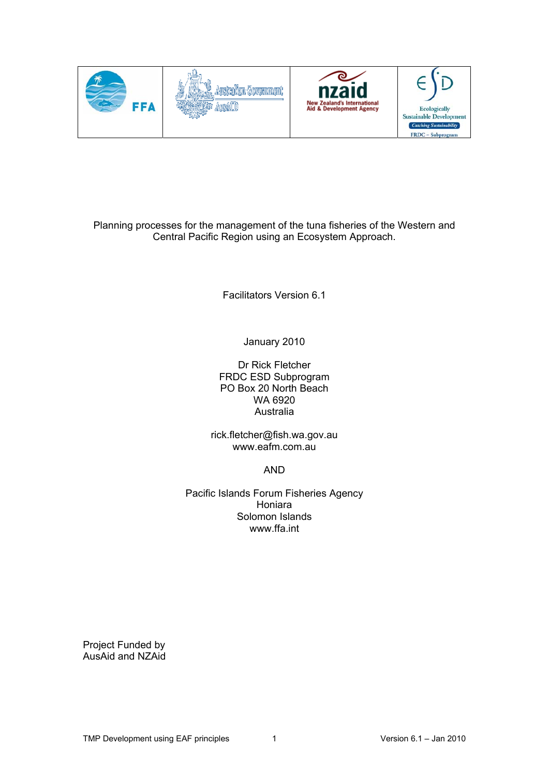





Planning processes for the management of the tuna fisheries of the Western and Central Pacific Region using an Ecosystem Approach.

Facilitators Version 6.1

January 2010

Dr Rick Fletcher FRDC ESD Subprogram PO Box 20 North Beach WA 6920 Australia

rick.fletcher@fish.wa.gov.au www.eafm.com.au

AND

Pacific Islands Forum Fisheries Agency Honiara Solomon Islands www.ffa.int

Project Funded by AusAid and NZAid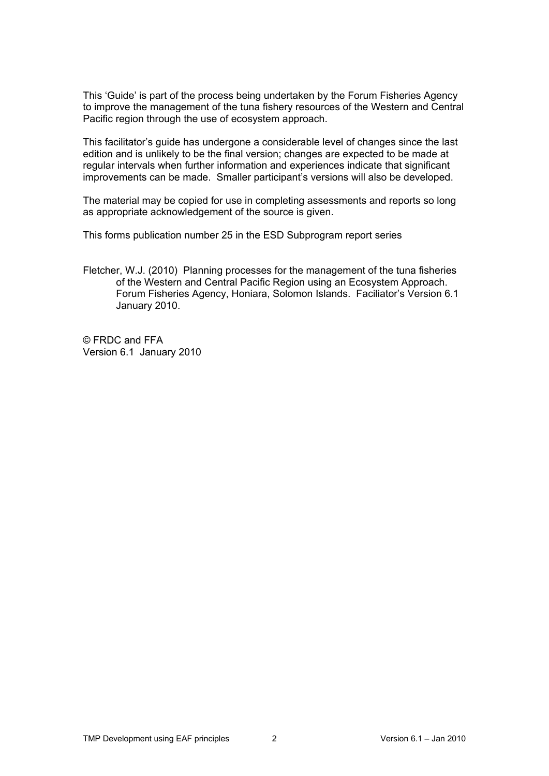This 'Guide' is part of the process being undertaken by the Forum Fisheries Agency to improve the management of the tuna fishery resources of the Western and Central Pacific region through the use of ecosystem approach.

This facilitator's guide has undergone a considerable level of changes since the last edition and is unlikely to be the final version; changes are expected to be made at regular intervals when further information and experiences indicate that significant improvements can be made. Smaller participant's versions will also be developed.

The material may be copied for use in completing assessments and reports so long as appropriate acknowledgement of the source is given.

This forms publication number 25 in the ESD Subprogram report series

Fletcher, W.J. (2010) Planning processes for the management of the tuna fisheries of the Western and Central Pacific Region using an Ecosystem Approach. Forum Fisheries Agency, Honiara, Solomon Islands. Faciliator's Version 6.1 January 2010.

© FRDC and FFA Version 6.1 January 2010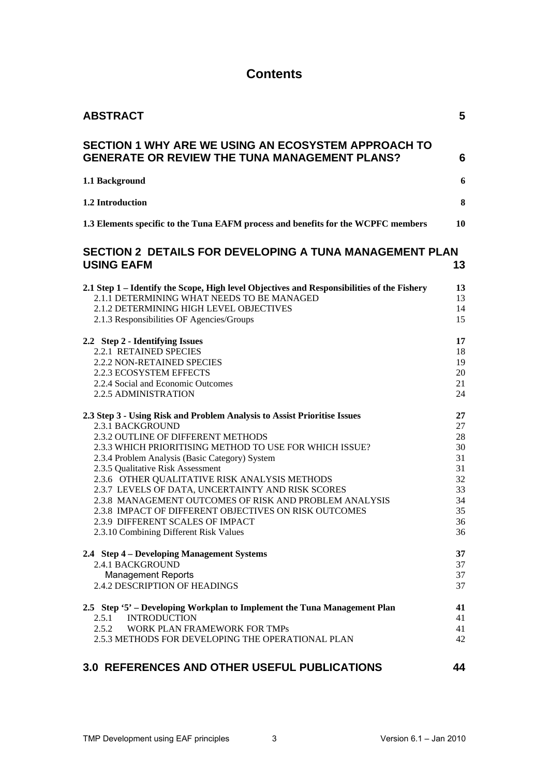## **Contents**

| <b>ABSTRACT</b>                                                                                                                                                                                                                                                                                                                                                                                                                                                                                                                                                                                                                                                                            | 5                                                                                      |
|--------------------------------------------------------------------------------------------------------------------------------------------------------------------------------------------------------------------------------------------------------------------------------------------------------------------------------------------------------------------------------------------------------------------------------------------------------------------------------------------------------------------------------------------------------------------------------------------------------------------------------------------------------------------------------------------|----------------------------------------------------------------------------------------|
| SECTION 1 WHY ARE WE USING AN ECOSYSTEM APPROACH TO<br><b>GENERATE OR REVIEW THE TUNA MANAGEMENT PLANS?</b>                                                                                                                                                                                                                                                                                                                                                                                                                                                                                                                                                                                | 6                                                                                      |
| 1.1 Background                                                                                                                                                                                                                                                                                                                                                                                                                                                                                                                                                                                                                                                                             | 6                                                                                      |
| 1.2 Introduction                                                                                                                                                                                                                                                                                                                                                                                                                                                                                                                                                                                                                                                                           | 8                                                                                      |
| 1.3 Elements specific to the Tuna EAFM process and benefits for the WCPFC members                                                                                                                                                                                                                                                                                                                                                                                                                                                                                                                                                                                                          | 10                                                                                     |
| <b>SECTION 2 DETAILS FOR DEVELOPING A TUNA MANAGEMENT PLAN</b><br><b>USING EAFM</b>                                                                                                                                                                                                                                                                                                                                                                                                                                                                                                                                                                                                        | 13                                                                                     |
| 2.1 Step 1 – Identify the Scope, High level Objectives and Responsibilities of the Fishery<br>2.1.1 DETERMINING WHAT NEEDS TO BE MANAGED<br>2.1.2 DETERMINING HIGH LEVEL OBJECTIVES<br>2.1.3 Responsibilities OF Agencies/Groups<br>2.2 Step 2 - Identifying Issues<br>2.2.1 RETAINED SPECIES<br>2.2.2 NON-RETAINED SPECIES<br>2.2.3 ECOSYSTEM EFFECTS<br>2.2.4 Social and Economic Outcomes<br>2.2.5 ADMINISTRATION                                                                                                                                                                                                                                                                       | 13<br>13<br>14<br>15<br>17<br>18<br>19<br>20<br>21<br>24                               |
| 2.3 Step 3 - Using Risk and Problem Analysis to Assist Prioritise Issues<br>2.3.1 BACKGROUND<br>2.3.2 OUTLINE OF DIFFERENT METHODS<br>2.3.3 WHICH PRIORITISING METHOD TO USE FOR WHICH ISSUE?<br>2.3.4 Problem Analysis (Basic Category) System<br>2.3.5 Qualitative Risk Assessment<br>2.3.6 OTHER QUALITATIVE RISK ANALYSIS METHODS<br>2.3.7 LEVELS OF DATA, UNCERTAINTY AND RISK SCORES<br>2.3.8 MANAGEMENT OUTCOMES OF RISK AND PROBLEM ANALYSIS<br>2.3.8 IMPACT OF DIFFERENT OBJECTIVES ON RISK OUTCOMES<br>2.3.9 DIFFERENT SCALES OF IMPACT<br>2.3.10 Combining Different Risk Values<br>2.4 Step 4 – Developing Management Systems<br>2.4.1 BACKGROUND<br><b>Management Reports</b> | 27<br>27<br>28<br>30<br>31<br>31<br>32<br>33<br>34<br>35<br>36<br>36<br>37<br>37<br>37 |
| 2.4.2 DESCRIPTION OF HEADINGS<br>2.5 Step '5' – Developing Workplan to Implement the Tuna Management Plan<br><b>INTRODUCTION</b><br>2.5.1<br>2.5.2<br>WORK PLAN FRAMEWORK FOR TMPs<br>2.5.3 METHODS FOR DEVELOPING THE OPERATIONAL PLAN                                                                                                                                                                                                                                                                                                                                                                                                                                                    | 37<br>41<br>41<br>41<br>42                                                             |

## **[3.0 REFERENCES AND OTHER USEFUL PUBLICATIONS 44](#page-43-0)**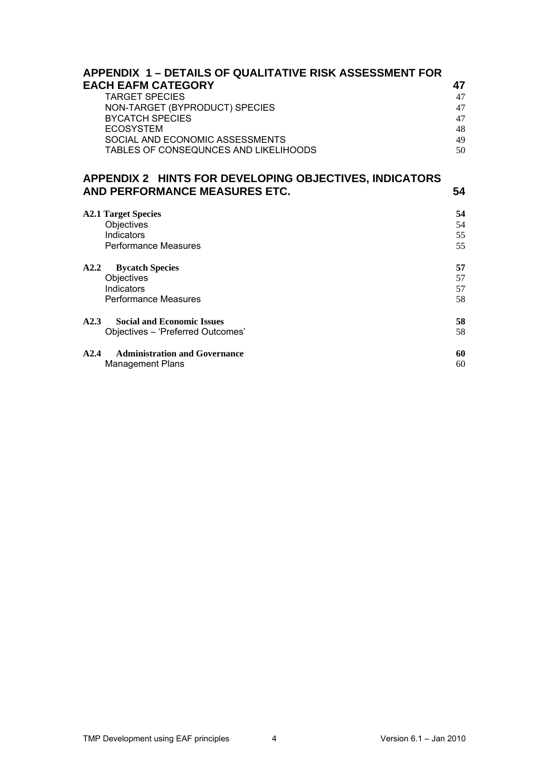| <b>APPENDIX 1 – DETAILS OF QUALITATIVE RISK ASSESSMENT FOR</b><br><b>EACH EAFM CATEGORY</b><br><b>TARGET SPECIES</b><br>NON-TARGET (BYPRODUCT) SPECIES<br><b>BYCATCH SPECIES</b><br><b>ECOSYSTEM</b><br>SOCIAL AND ECONOMIC ASSESSMENTS<br>TABLES OF CONSEQUNCES AND LIKELIHOODS | 47<br>47<br>47<br>47<br>48<br>49<br>50 |
|----------------------------------------------------------------------------------------------------------------------------------------------------------------------------------------------------------------------------------------------------------------------------------|----------------------------------------|
| APPENDIX 2 HINTS FOR DEVELOPING OBJECTIVES, INDICATORS<br>AND PERFORMANCE MEASURES ETC.                                                                                                                                                                                          | 54                                     |
| <b>A2.1 Target Species</b><br>Objectives<br>Indicators<br><b>Performance Measures</b>                                                                                                                                                                                            | 54<br>54<br>55<br>55                   |
| A2.2<br><b>Bycatch Species</b><br>Objectives<br>Indicators<br><b>Performance Measures</b>                                                                                                                                                                                        | 57<br>57<br>57<br>58                   |
| <b>Social and Economic Issues</b><br>A2.3<br>Objectives - 'Preferred Outcomes'                                                                                                                                                                                                   | 58<br>58                               |
| <b>Administration and Governance</b><br>A2.4<br><b>Management Plans</b>                                                                                                                                                                                                          | 60<br>60                               |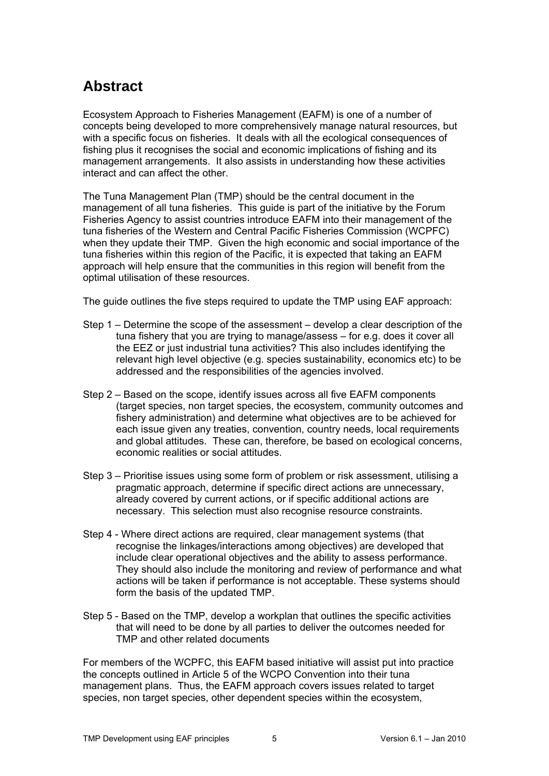# <span id="page-4-0"></span>**Abstract**

Ecosystem Approach to Fisheries Management (EAFM) is one of a number of concepts being developed to more comprehensively manage natural resources, but with a specific focus on fisheries. It deals with all the ecological consequences of fishing plus it recognises the social and economic implications of fishing and its management arrangements. It also assists in understanding how these activities interact and can affect the other.

The Tuna Management Plan (TMP) should be the central document in the management of all tuna fisheries. This guide is part of the initiative by the Forum Fisheries Agency to assist countries introduce EAFM into their management of the tuna fisheries of the Western and Central Pacific Fisheries Commission (WCPFC) when they update their TMP. Given the high economic and social importance of the tuna fisheries within this region of the Pacific, it is expected that taking an EAFM approach will help ensure that the communities in this region will benefit from the optimal utilisation of these resources.

The guide outlines the five steps required to update the TMP using EAF approach:

- Step 1 Determine the scope of the assessment develop a clear description of the tuna fishery that you are trying to manage/assess – for e.g. does it cover all the EEZ or just industrial tuna activities? This also includes identifying the relevant high level objective (e.g. species sustainability, economics etc) to be addressed and the responsibilities of the agencies involved.
- Step 2 Based on the scope, identify issues across all five EAFM components (target species, non target species, the ecosystem, community outcomes and fishery administration) and determine what objectives are to be achieved for each issue given any treaties, convention, country needs, local requirements and global attitudes. These can, therefore, be based on ecological concerns, economic realities or social attitudes.
- Step 3 Prioritise issues using some form of problem or risk assessment, utilising a pragmatic approach, determine if specific direct actions are unnecessary, already covered by current actions, or if specific additional actions are necessary. This selection must also recognise resource constraints.
- Step 4 Where direct actions are required, clear management systems (that recognise the linkages/interactions among objectives) are developed that include clear operational objectives and the ability to assess performance. They should also include the monitoring and review of performance and what actions will be taken if performance is not acceptable. These systems should form the basis of the updated TMP.
- Step 5 Based on the TMP, develop a workplan that outlines the specific activities that will need to be done by all parties to deliver the outcomes needed for TMP and other related documents

For members of the WCPFC, this EAFM based initiative will assist put into practice the concepts outlined in Article 5 of the WCPO Convention into their tuna management plans. Thus, the EAFM approach covers issues related to target species, non target species, other dependent species within the ecosystem,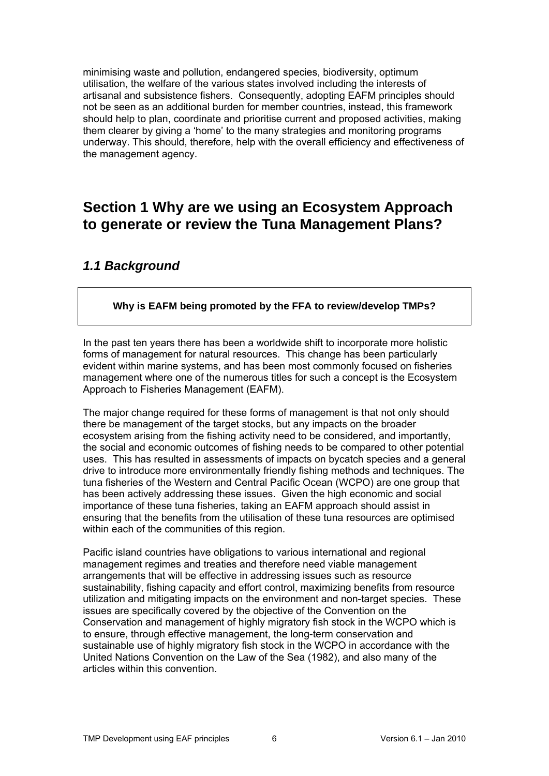minimising waste and pollution, endangered species, biodiversity, optimum utilisation, the welfare of the various states involved including the interests of artisanal and subsistence fishers. Consequently, adopting EAFM principles should not be seen as an additional burden for member countries, instead, this framework should help to plan, coordinate and prioritise current and proposed activities, making them clearer by giving a 'home' to the many strategies and monitoring programs underway. This should, therefore, help with the overall efficiency and effectiveness of the management agency.

# <span id="page-5-0"></span>**Section 1 Why are we using an Ecosystem Approach to generate or review the Tuna Management Plans?**

## <span id="page-5-1"></span>*1.1 Background*

## **Why is EAFM being promoted by the FFA to review/develop TMPs?**

In the past ten years there has been a worldwide shift to incorporate more holistic forms of management for natural resources. This change has been particularly evident within marine systems, and has been most commonly focused on fisheries management where one of the numerous titles for such a concept is the Ecosystem Approach to Fisheries Management (EAFM).

The major change required for these forms of management is that not only should there be management of the target stocks, but any impacts on the broader ecosystem arising from the fishing activity need to be considered, and importantly, the social and economic outcomes of fishing needs to be compared to other potential uses. This has resulted in assessments of impacts on bycatch species and a general drive to introduce more environmentally friendly fishing methods and techniques. The tuna fisheries of the Western and Central Pacific Ocean (WCPO) are one group that has been actively addressing these issues. Given the high economic and social importance of these tuna fisheries, taking an EAFM approach should assist in ensuring that the benefits from the utilisation of these tuna resources are optimised within each of the communities of this region.

Pacific island countries have obligations to various international and regional management regimes and treaties and therefore need viable management arrangements that will be effective in addressing issues such as resource sustainability, fishing capacity and effort control, maximizing benefits from resource utilization and mitigating impacts on the environment and non-target species. These issues are specifically covered by the objective of the Convention on the Conservation and management of highly migratory fish stock in the WCPO which is to ensure, through effective management, the long-term conservation and sustainable use of highly migratory fish stock in the WCPO in accordance with the United Nations Convention on the Law of the Sea (1982), and also many of the articles within this convention.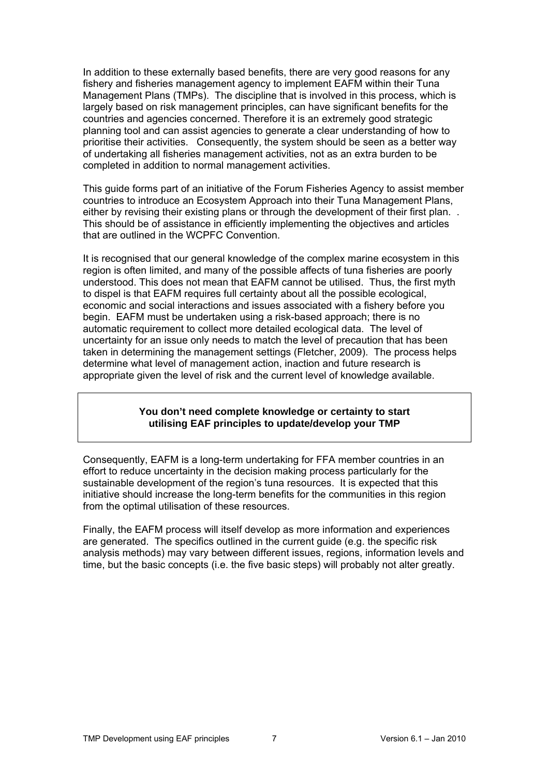In addition to these externally based benefits, there are very good reasons for any fishery and fisheries management agency to implement EAFM within their Tuna Management Plans (TMPs). The discipline that is involved in this process, which is largely based on risk management principles, can have significant benefits for the countries and agencies concerned. Therefore it is an extremely good strategic planning tool and can assist agencies to generate a clear understanding of how to prioritise their activities. Consequently, the system should be seen as a better way of undertaking all fisheries management activities, not as an extra burden to be completed in addition to normal management activities.

This guide forms part of an initiative of the Forum Fisheries Agency to assist member countries to introduce an Ecosystem Approach into their Tuna Management Plans, either by revising their existing plans or through the development of their first plan... This should be of assistance in efficiently implementing the objectives and articles that are outlined in the WCPFC Convention.

It is recognised that our general knowledge of the complex marine ecosystem in this region is often limited, and many of the possible affects of tuna fisheries are poorly understood. This does not mean that EAFM cannot be utilised. Thus, the first myth to dispel is that EAFM requires full certainty about all the possible ecological, economic and social interactions and issues associated with a fishery before you begin. EAFM must be undertaken using a risk-based approach; there is no automatic requirement to collect more detailed ecological data. The level of uncertainty for an issue only needs to match the level of precaution that has been taken in determining the management settings (Fletcher, 2009). The process helps determine what level of management action, inaction and future research is appropriate given the level of risk and the current level of knowledge available.

#### **You don't need complete knowledge or certainty to start utilising EAF principles to update/develop your TMP**

Consequently, EAFM is a long-term undertaking for FFA member countries in an effort to reduce uncertainty in the decision making process particularly for the sustainable development of the region's tuna resources. It is expected that this initiative should increase the long-term benefits for the communities in this region from the optimal utilisation of these resources.

Finally, the EAFM process will itself develop as more information and experiences are generated. The specifics outlined in the current guide (e.g. the specific risk analysis methods) may vary between different issues, regions, information levels and time, but the basic concepts (i.e. the five basic steps) will probably not alter greatly.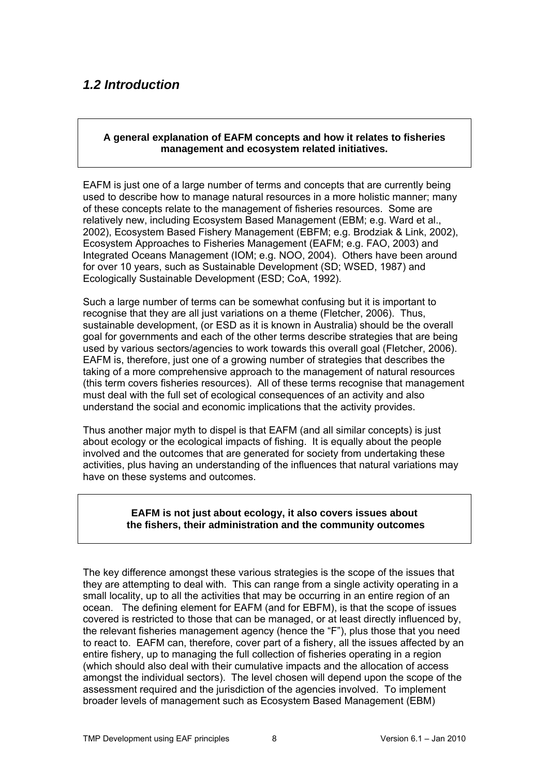## <span id="page-7-0"></span>*1.2 Introduction*

### **A general explanation of EAFM concepts and how it relates to fisheries management and ecosystem related initiatives.**

EAFM is just one of a large number of terms and concepts that are currently being used to describe how to manage natural resources in a more holistic manner; many of these concepts relate to the management of fisheries resources. Some are relatively new, including Ecosystem Based Management (EBM; e.g. Ward et al., 2002), Ecosystem Based Fishery Management (EBFM; e.g. Brodziak & Link, 2002), Ecosystem Approaches to Fisheries Management (EAFM; e.g. FAO, 2003) and Integrated Oceans Management (IOM; e.g. NOO, 2004). Others have been around for over 10 years, such as Sustainable Development (SD; WSED, 1987) and Ecologically Sustainable Development (ESD; CoA, 1992).

Such a large number of terms can be somewhat confusing but it is important to recognise that they are all just variations on a theme (Fletcher, 2006). Thus, sustainable development, (or ESD as it is known in Australia) should be the overall goal for governments and each of the other terms describe strategies that are being used by various sectors/agencies to work towards this overall goal (Fletcher, 2006). EAFM is, therefore, just one of a growing number of strategies that describes the taking of a more comprehensive approach to the management of natural resources (this term covers fisheries resources). All of these terms recognise that management must deal with the full set of ecological consequences of an activity and also understand the social and economic implications that the activity provides.

Thus another major myth to dispel is that EAFM (and all similar concepts) is just about ecology or the ecological impacts of fishing. It is equally about the people involved and the outcomes that are generated for society from undertaking these activities, plus having an understanding of the influences that natural variations may have on these systems and outcomes.

#### **EAFM is not just about ecology, it also covers issues about the fishers, their administration and the community outcomes**

The key difference amongst these various strategies is the scope of the issues that they are attempting to deal with. This can range from a single activity operating in a small locality, up to all the activities that may be occurring in an entire region of an ocean. The defining element for EAFM (and for EBFM), is that the scope of issues covered is restricted to those that can be managed, or at least directly influenced by, the relevant fisheries management agency (hence the "F"), plus those that you need to react to. EAFM can, therefore, cover part of a fishery, all the issues affected by an entire fishery, up to managing the full collection of fisheries operating in a region (which should also deal with their cumulative impacts and the allocation of access amongst the individual sectors). The level chosen will depend upon the scope of the assessment required and the jurisdiction of the agencies involved. To implement broader levels of management such as Ecosystem Based Management (EBM)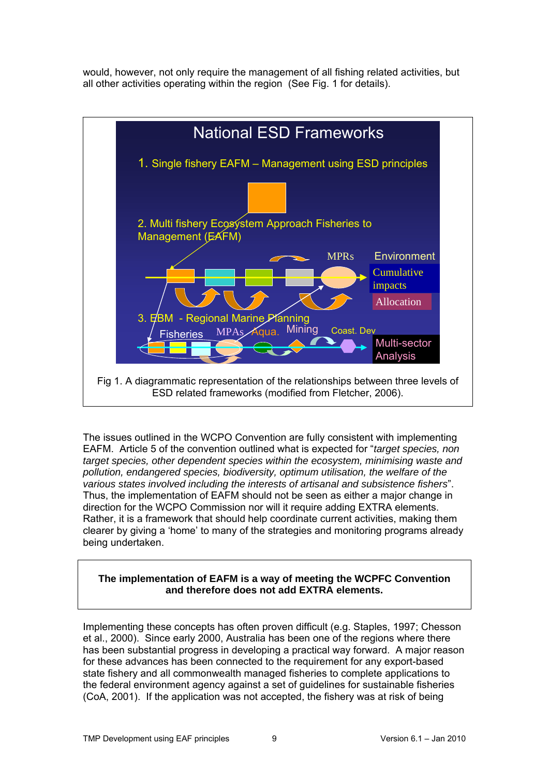would, however, not only require the management of all fishing related activities, but all other activities operating within the region (See Fig. 1 for details).



The issues outlined in the WCPO Convention are fully consistent with implementing EAFM. Article 5 of the convention outlined what is expected for "*target species, non target species, other dependent species within the ecosystem, minimising waste and pollution, endangered species, biodiversity, optimum utilisation, the welfare of the various states involved including the interests of artisanal and subsistence fishers*". Thus, the implementation of EAFM should not be seen as either a major change in direction for the WCPO Commission nor will it require adding EXTRA elements. Rather, it is a framework that should help coordinate current activities, making them clearer by giving a 'home' to many of the strategies and monitoring programs already being undertaken.

#### **The implementation of EAFM is a way of meeting the WCPFC Convention and therefore does not add EXTRA elements.**

Implementing these concepts has often proven difficult (e.g. Staples, 1997; Chesson et al., 2000). Since early 2000, Australia has been one of the regions where there has been substantial progress in developing a practical way forward. A major reason for these advances has been connected to the requirement for any export-based state fishery and all commonwealth managed fisheries to complete applications to the federal environment agency against a set of guidelines for sustainable fisheries (CoA, 2001). If the application was not accepted, the fishery was at risk of being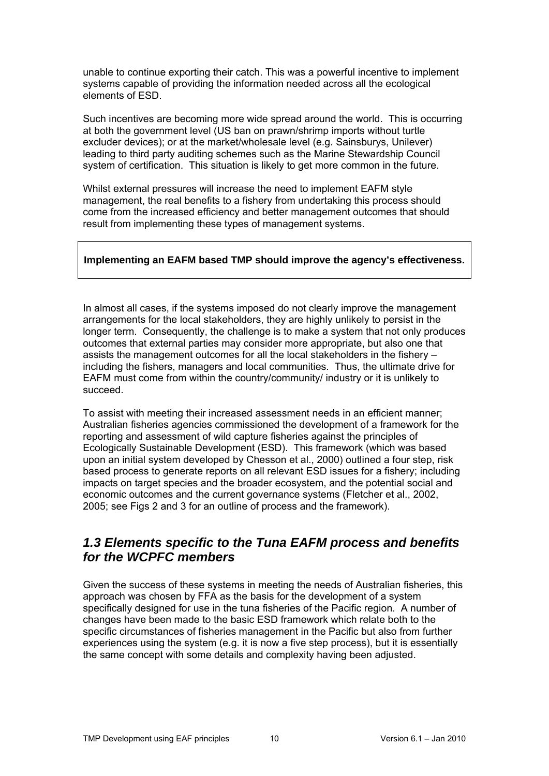unable to continue exporting their catch. This was a powerful incentive to implement systems capable of providing the information needed across all the ecological elements of ESD.

Such incentives are becoming more wide spread around the world. This is occurring at both the government level (US ban on prawn/shrimp imports without turtle excluder devices); or at the market/wholesale level (e.g. Sainsburys, Unilever) leading to third party auditing schemes such as the Marine Stewardship Council system of certification. This situation is likely to get more common in the future.

Whilst external pressures will increase the need to implement EAFM style management, the real benefits to a fishery from undertaking this process should come from the increased efficiency and better management outcomes that should result from implementing these types of management systems.

## **Implementing an EAFM based TMP should improve the agency's effectiveness.**

In almost all cases, if the systems imposed do not clearly improve the management arrangements for the local stakeholders, they are highly unlikely to persist in the longer term. Consequently, the challenge is to make a system that not only produces outcomes that external parties may consider more appropriate, but also one that assists the management outcomes for all the local stakeholders in the fishery – including the fishers, managers and local communities. Thus, the ultimate drive for EAFM must come from within the country/community/ industry or it is unlikely to succeed.

To assist with meeting their increased assessment needs in an efficient manner; Australian fisheries agencies commissioned the development of a framework for the reporting and assessment of wild capture fisheries against the principles of Ecologically Sustainable Development (ESD). This framework (which was based upon an initial system developed by Chesson et al., 2000) outlined a four step, risk based process to generate reports on all relevant ESD issues for a fishery; including impacts on target species and the broader ecosystem, and the potential social and economic outcomes and the current governance systems (Fletcher et al., 2002, 2005; see Figs 2 and 3 for an outline of process and the framework).

## <span id="page-9-0"></span>*1.3 Elements specific to the Tuna EAFM process and benefits for the WCPFC members*

Given the success of these systems in meeting the needs of Australian fisheries, this approach was chosen by FFA as the basis for the development of a system specifically designed for use in the tuna fisheries of the Pacific region. A number of changes have been made to the basic ESD framework which relate both to the specific circumstances of fisheries management in the Pacific but also from further experiences using the system (e.g. it is now a five step process), but it is essentially the same concept with some details and complexity having been adjusted.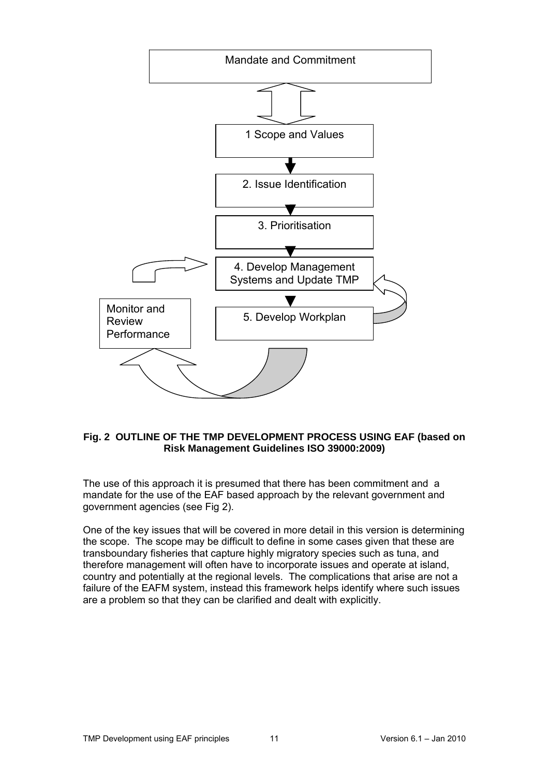

#### **Fig. 2 OUTLINE OF THE TMP DEVELOPMENT PROCESS USING EAF (based on Risk Management Guidelines ISO 39000:2009)**

The use of this approach it is presumed that there has been commitment and a mandate for the use of the EAF based approach by the relevant government and government agencies (see Fig 2).

One of the key issues that will be covered in more detail in this version is determining the scope. The scope may be difficult to define in some cases given that these are transboundary fisheries that capture highly migratory species such as tuna, and therefore management will often have to incorporate issues and operate at island, country and potentially at the regional levels. The complications that arise are not a failure of the EAFM system, instead this framework helps identify where such issues are a problem so that they can be clarified and dealt with explicitly.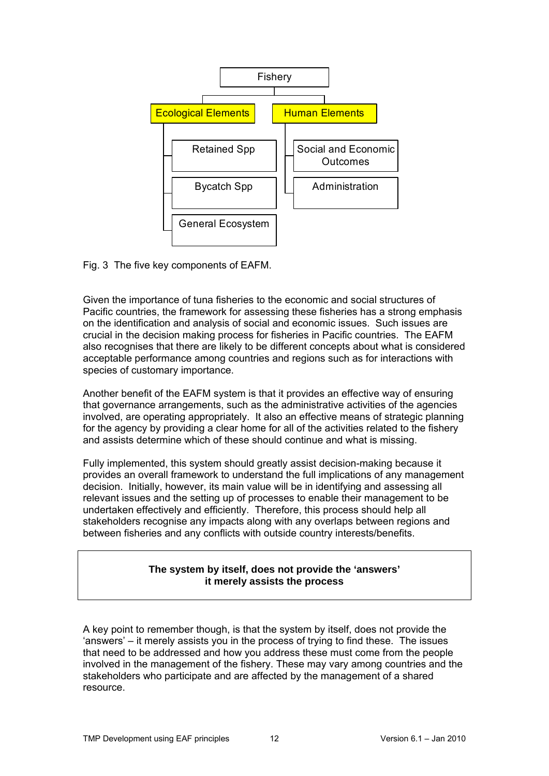

Fig. 3 The five key components of EAFM.

Given the importance of tuna fisheries to the economic and social structures of Pacific countries, the framework for assessing these fisheries has a strong emphasis on the identification and analysis of social and economic issues. Such issues are crucial in the decision making process for fisheries in Pacific countries. The EAFM also recognises that there are likely to be different concepts about what is considered acceptable performance among countries and regions such as for interactions with species of customary importance.

Another benefit of the EAFM system is that it provides an effective way of ensuring that governance arrangements, such as the administrative activities of the agencies involved, are operating appropriately. It also an effective means of strategic planning for the agency by providing a clear home for all of the activities related to the fishery and assists determine which of these should continue and what is missing.

Fully implemented, this system should greatly assist decision-making because it provides an overall framework to understand the full implications of any management decision. Initially, however, its main value will be in identifying and assessing all relevant issues and the setting up of processes to enable their management to be undertaken effectively and efficiently. Therefore, this process should help all stakeholders recognise any impacts along with any overlaps between regions and between fisheries and any conflicts with outside country interests/benefits.

## **The system by itself, does not provide the 'answers' it merely assists the process**

A key point to remember though, is that the system by itself, does not provide the 'answers' – it merely assists you in the process of trying to find these. The issues that need to be addressed and how you address these must come from the people involved in the management of the fishery. These may vary among countries and the stakeholders who participate and are affected by the management of a shared resource.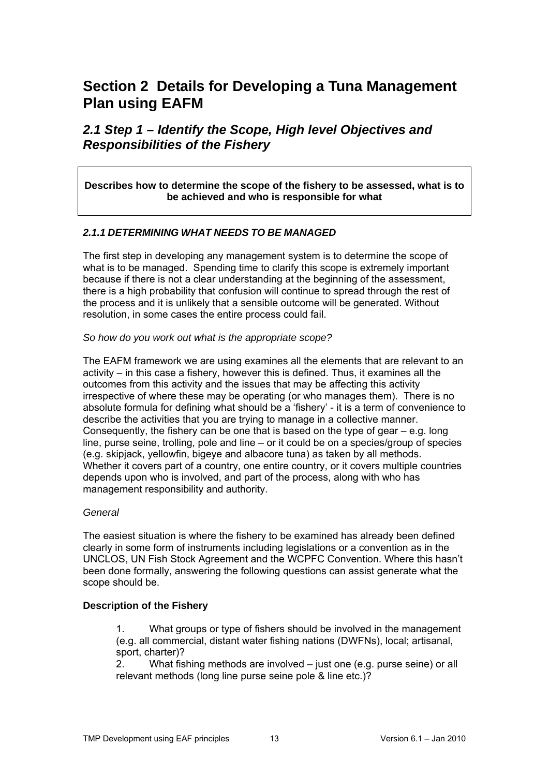# <span id="page-12-0"></span>**Section 2 Details for Developing a Tuna Management Plan using EAFM**

## <span id="page-12-1"></span>*2.1 Step 1 – Identify the Scope, High level Objectives and Responsibilities of the Fishery*

**Describes how to determine the scope of the fishery to be assessed, what is to be achieved and who is responsible for what** 

#### <span id="page-12-2"></span>*2.1.1 DETERMINING WHAT NEEDS TO BE MANAGED*

The first step in developing any management system is to determine the scope of what is to be managed. Spending time to clarify this scope is extremely important because if there is not a clear understanding at the beginning of the assessment, there is a high probability that confusion will continue to spread through the rest of the process and it is unlikely that a sensible outcome will be generated. Without resolution, in some cases the entire process could fail.

#### *So how do you work out what is the appropriate scope?*

The EAFM framework we are using examines all the elements that are relevant to an activity – in this case a fishery, however this is defined. Thus, it examines all the outcomes from this activity and the issues that may be affecting this activity irrespective of where these may be operating (or who manages them). There is no absolute formula for defining what should be a 'fishery' - it is a term of convenience to describe the activities that you are trying to manage in a collective manner. Consequently, the fishery can be one that is based on the type of gear  $-e.a$ . long line, purse seine, trolling, pole and line – or it could be on a species/group of species (e.g. skipjack, yellowfin, bigeye and albacore tuna) as taken by all methods. Whether it covers part of a country, one entire country, or it covers multiple countries depends upon who is involved, and part of the process, along with who has management responsibility and authority.

#### *General*

The easiest situation is where the fishery to be examined has already been defined clearly in some form of instruments including legislations or a convention as in the UNCLOS, UN Fish Stock Agreement and the WCPFC Convention. Where this hasn't been done formally, answering the following questions can assist generate what the scope should be.

#### **Description of the Fishery**

1. What groups or type of fishers should be involved in the management (e.g. all commercial, distant water fishing nations (DWFNs), local; artisanal, sport, charter)?

2. What fishing methods are involved – just one (e.g. purse seine) or all relevant methods (long line purse seine pole & line etc.)?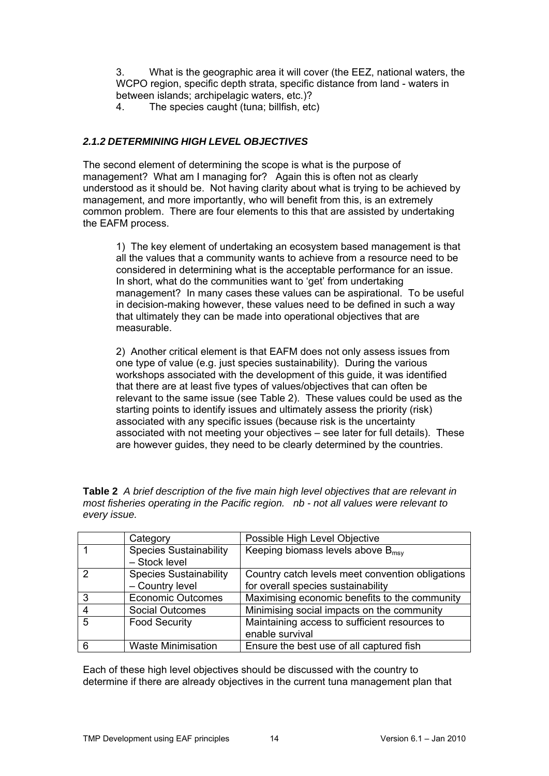3. What is the geographic area it will cover (the EEZ, national waters, the WCPO region, specific depth strata, specific distance from land - waters in between islands; archipelagic waters, etc.)?

4. The species caught (tuna; billfish, etc)

## <span id="page-13-0"></span>*2.1.2 DETERMINING HIGH LEVEL OBJECTIVES*

The second element of determining the scope is what is the purpose of management? What am I managing for? Again this is often not as clearly understood as it should be. Not having clarity about what is trying to be achieved by management, and more importantly, who will benefit from this, is an extremely common problem. There are four elements to this that are assisted by undertaking the EAFM process.

1) The key element of undertaking an ecosystem based management is that all the values that a community wants to achieve from a resource need to be considered in determining what is the acceptable performance for an issue. In short, what do the communities want to 'get' from undertaking management? In many cases these values can be aspirational. To be useful in decision-making however, these values need to be defined in such a way that ultimately they can be made into operational objectives that are measurable.

2) Another critical element is that EAFM does not only assess issues from one type of value (e.g. just species sustainability). During the various workshops associated with the development of this guide, it was identified that there are at least five types of values/objectives that can often be relevant to the same issue (see Table 2). These values could be used as the starting points to identify issues and ultimately assess the priority (risk) associated with any specific issues (because risk is the uncertainty associated with not meeting your objectives – see later for full details). These are however guides, they need to be clearly determined by the countries.

| <b>Table 2</b> A brief description of the five main high level objectives that are relevant in |  |
|------------------------------------------------------------------------------------------------|--|
| most fisheries operating in the Pacific region. nb - not all values were relevant to           |  |
| every issue.                                                                                   |  |

|                 | Category                                       | Possible High Level Objective                    |
|-----------------|------------------------------------------------|--------------------------------------------------|
|                 | <b>Species Sustainability</b><br>- Stock level | Keeping biomass levels above $B_{\text{msv}}$    |
| 2               | <b>Species Sustainability</b>                  | Country catch levels meet convention obligations |
|                 | - Country level                                | for overall species sustainability               |
| 3               | <b>Economic Outcomes</b>                       | Maximising economic benefits to the community    |
|                 | <b>Social Outcomes</b>                         | Minimising social impacts on the community       |
| $5\overline{5}$ | <b>Food Security</b>                           | Maintaining access to sufficient resources to    |
|                 |                                                | enable survival                                  |
| 6               | <b>Waste Minimisation</b>                      | Ensure the best use of all captured fish         |

Each of these high level objectives should be discussed with the country to determine if there are already objectives in the current tuna management plan that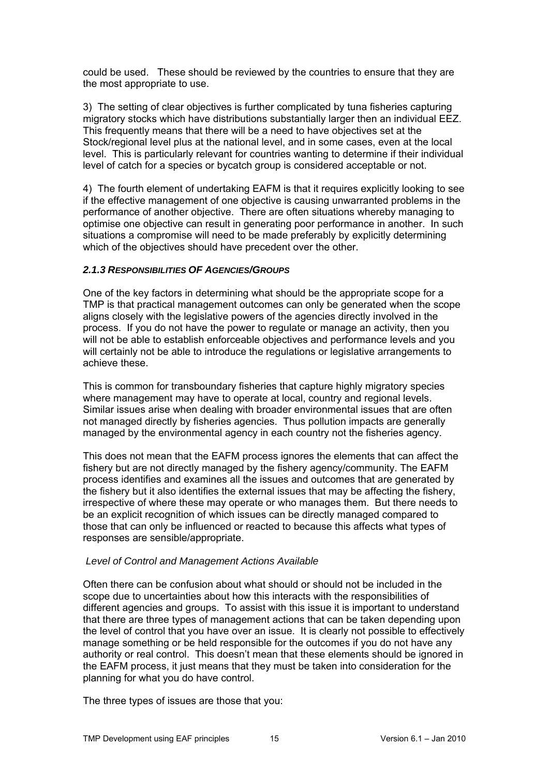could be used. These should be reviewed by the countries to ensure that they are the most appropriate to use.

3) The setting of clear objectives is further complicated by tuna fisheries capturing migratory stocks which have distributions substantially larger then an individual EEZ. This frequently means that there will be a need to have objectives set at the Stock/regional level plus at the national level, and in some cases, even at the local level. This is particularly relevant for countries wanting to determine if their individual level of catch for a species or bycatch group is considered acceptable or not.

4) The fourth element of undertaking EAFM is that it requires explicitly looking to see if the effective management of one objective is causing unwarranted problems in the performance of another objective. There are often situations whereby managing to optimise one objective can result in generating poor performance in another. In such situations a compromise will need to be made preferably by explicitly determining which of the objectives should have precedent over the other.

#### <span id="page-14-0"></span>*2.1.3 RESPONSIBILITIES OF AGENCIES/GROUPS*

One of the key factors in determining what should be the appropriate scope for a TMP is that practical management outcomes can only be generated when the scope aligns closely with the legislative powers of the agencies directly involved in the process. If you do not have the power to regulate or manage an activity, then you will not be able to establish enforceable objectives and performance levels and you will certainly not be able to introduce the regulations or legislative arrangements to achieve these.

This is common for transboundary fisheries that capture highly migratory species where management may have to operate at local, country and regional levels. Similar issues arise when dealing with broader environmental issues that are often not managed directly by fisheries agencies. Thus pollution impacts are generally managed by the environmental agency in each country not the fisheries agency.

This does not mean that the EAFM process ignores the elements that can affect the fishery but are not directly managed by the fishery agency/community. The EAFM process identifies and examines all the issues and outcomes that are generated by the fishery but it also identifies the external issues that may be affecting the fishery, irrespective of where these may operate or who manages them. But there needs to be an explicit recognition of which issues can be directly managed compared to those that can only be influenced or reacted to because this affects what types of responses are sensible/appropriate.

#### *Level of Control and Management Actions Available*

Often there can be confusion about what should or should not be included in the scope due to uncertainties about how this interacts with the responsibilities of different agencies and groups. To assist with this issue it is important to understand that there are three types of management actions that can be taken depending upon the level of control that you have over an issue. It is clearly not possible to effectively manage something or be held responsible for the outcomes if you do not have any authority or real control. This doesn't mean that these elements should be ignored in the EAFM process, it just means that they must be taken into consideration for the planning for what you do have control.

The three types of issues are those that you: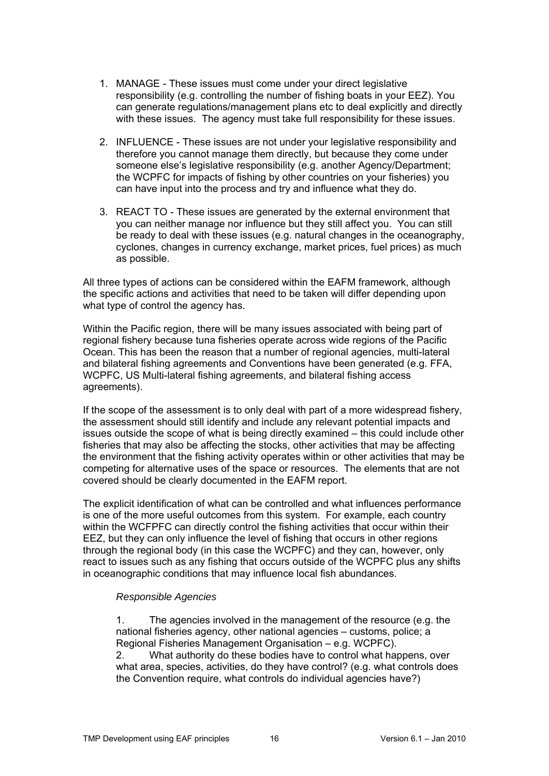- 1. MANAGE These issues must come under your direct legislative responsibility (e.g. controlling the number of fishing boats in your EEZ). You can generate regulations/management plans etc to deal explicitly and directly with these issues. The agency must take full responsibility for these issues.
- 2. INFLUENCE These issues are not under your legislative responsibility and therefore you cannot manage them directly, but because they come under someone else's legislative responsibility (e.g. another Agency/Department; the WCPFC for impacts of fishing by other countries on your fisheries) you can have input into the process and try and influence what they do.
- 3. REACT TO These issues are generated by the external environment that you can neither manage nor influence but they still affect you. You can still be ready to deal with these issues (e.g. natural changes in the oceanography, cyclones, changes in currency exchange, market prices, fuel prices) as much as possible.

All three types of actions can be considered within the EAFM framework, although the specific actions and activities that need to be taken will differ depending upon what type of control the agency has.

Within the Pacific region, there will be many issues associated with being part of regional fishery because tuna fisheries operate across wide regions of the Pacific Ocean. This has been the reason that a number of regional agencies, multi-lateral and bilateral fishing agreements and Conventions have been generated (e.g. FFA, WCPFC, US Multi-lateral fishing agreements, and bilateral fishing access agreements).

If the scope of the assessment is to only deal with part of a more widespread fishery, the assessment should still identify and include any relevant potential impacts and issues outside the scope of what is being directly examined – this could include other fisheries that may also be affecting the stocks, other activities that may be affecting the environment that the fishing activity operates within or other activities that may be competing for alternative uses of the space or resources. The elements that are not covered should be clearly documented in the EAFM report.

The explicit identification of what can be controlled and what influences performance is one of the more useful outcomes from this system. For example, each country within the WCFPFC can directly control the fishing activities that occur within their EEZ, but they can only influence the level of fishing that occurs in other regions through the regional body (in this case the WCPFC) and they can, however, only react to issues such as any fishing that occurs outside of the WCPFC plus any shifts in oceanographic conditions that may influence local fish abundances.

#### *Responsible Agencies*

1. The agencies involved in the management of the resource (e.g. the national fisheries agency, other national agencies – customs, police; a Regional Fisheries Management Organisation – e.g. WCPFC).

2. What authority do these bodies have to control what happens, over what area, species, activities, do they have control? (e.g. what controls does the Convention require, what controls do individual agencies have?)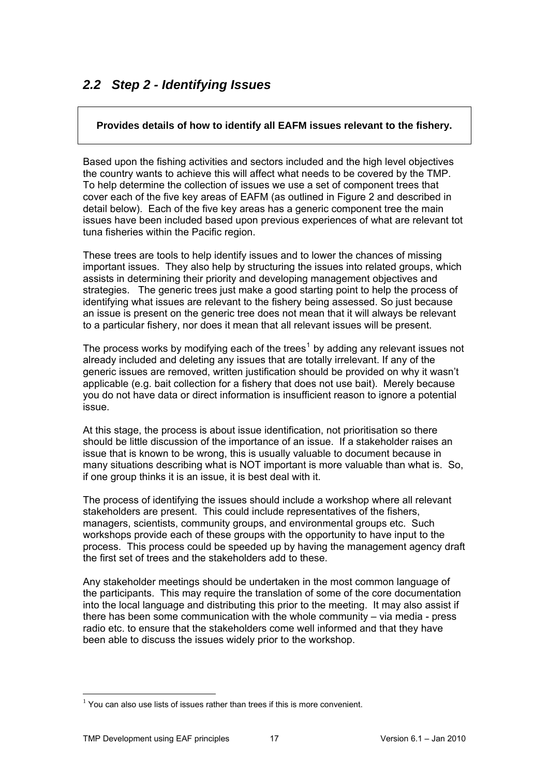# <span id="page-16-0"></span>*2.2 Step 2 - Identifying Issues*

### **Provides details of how to identify all EAFM issues relevant to the fishery.**

Based upon the fishing activities and sectors included and the high level objectives the country wants to achieve this will affect what needs to be covered by the TMP. To help determine the collection of issues we use a set of component trees that cover each of the five key areas of EAFM (as outlined in Figure 2 and described in detail below). Each of the five key areas has a generic component tree the main issues have been included based upon previous experiences of what are relevant tot tuna fisheries within the Pacific region.

These trees are tools to help identify issues and to lower the chances of missing important issues. They also help by structuring the issues into related groups, which assists in determining their priority and developing management objectives and strategies. The generic trees just make a good starting point to help the process of identifying what issues are relevant to the fishery being assessed. So just because an issue is present on the generic tree does not mean that it will always be relevant to a particular fishery, nor does it mean that all relevant issues will be present.

The process works by modifying each of the trees<sup>[1](#page-16-1)</sup> by adding any relevant issues not already included and deleting any issues that are totally irrelevant. If any of the generic issues are removed, written justification should be provided on why it wasn't applicable (e.g. bait collection for a fishery that does not use bait). Merely because you do not have data or direct information is insufficient reason to ignore a potential issue.

At this stage, the process is about issue identification, not prioritisation so there should be little discussion of the importance of an issue. If a stakeholder raises an issue that is known to be wrong, this is usually valuable to document because in many situations describing what is NOT important is more valuable than what is. So, if one group thinks it is an issue, it is best deal with it.

The process of identifying the issues should include a workshop where all relevant stakeholders are present. This could include representatives of the fishers, managers, scientists, community groups, and environmental groups etc. Such workshops provide each of these groups with the opportunity to have input to the process. This process could be speeded up by having the management agency draft the first set of trees and the stakeholders add to these.

Any stakeholder meetings should be undertaken in the most common language of the participants. This may require the translation of some of the core documentation into the local language and distributing this prior to the meeting. It may also assist if there has been some communication with the whole community – via media - press radio etc. to ensure that the stakeholders come well informed and that they have been able to discuss the issues widely prior to the workshop.

1

<span id="page-16-1"></span> $1$  You can also use lists of issues rather than trees if this is more convenient.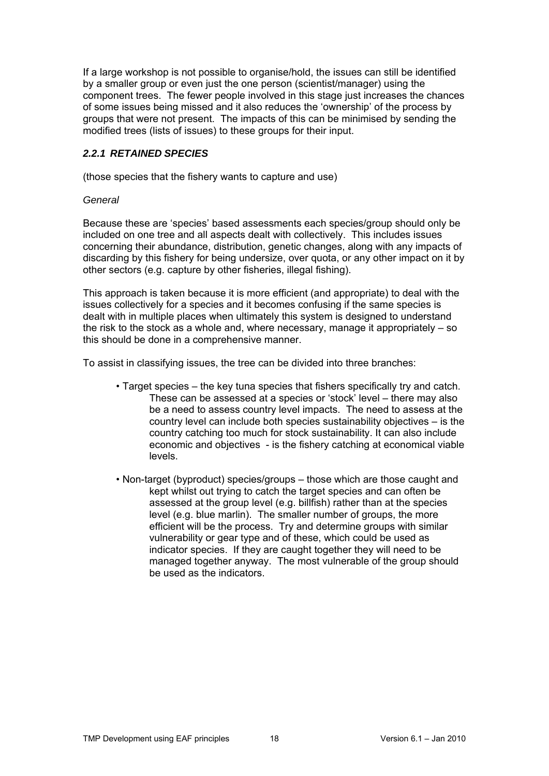If a large workshop is not possible to organise/hold, the issues can still be identified by a smaller group or even just the one person (scientist/manager) using the component trees. The fewer people involved in this stage just increases the chances of some issues being missed and it also reduces the 'ownership' of the process by groups that were not present. The impacts of this can be minimised by sending the modified trees (lists of issues) to these groups for their input.

### <span id="page-17-0"></span>*2.2.1 RETAINED SPECIES*

(those species that the fishery wants to capture and use)

#### *General*

Because these are 'species' based assessments each species/group should only be included on one tree and all aspects dealt with collectively. This includes issues concerning their abundance, distribution, genetic changes, along with any impacts of discarding by this fishery for being undersize, over quota, or any other impact on it by other sectors (e.g. capture by other fisheries, illegal fishing).

This approach is taken because it is more efficient (and appropriate) to deal with the issues collectively for a species and it becomes confusing if the same species is dealt with in multiple places when ultimately this system is designed to understand the risk to the stock as a whole and, where necessary, manage it appropriately – so this should be done in a comprehensive manner.

To assist in classifying issues, the tree can be divided into three branches:

- Target species the key tuna species that fishers specifically try and catch. These can be assessed at a species or 'stock' level – there may also be a need to assess country level impacts. The need to assess at the country level can include both species sustainability objectives – is the country catching too much for stock sustainability. It can also include economic and objectives - is the fishery catching at economical viable levels.
- Non-target (byproduct) species/groups those which are those caught and kept whilst out trying to catch the target species and can often be assessed at the group level (e.g. billfish) rather than at the species level (e.g. blue marlin). The smaller number of groups, the more efficient will be the process. Try and determine groups with similar vulnerability or gear type and of these, which could be used as indicator species. If they are caught together they will need to be managed together anyway. The most vulnerable of the group should be used as the indicators.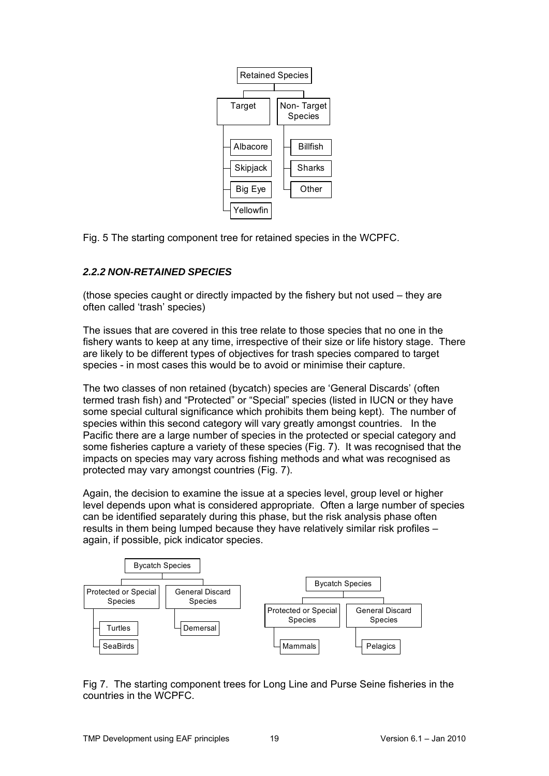

Fig. 5 The starting component tree for retained species in the WCPFC.

## <span id="page-18-0"></span>*2.2.2 NON-RETAINED SPECIES*

(those species caught or directly impacted by the fishery but not used – they are often called 'trash' species)

The issues that are covered in this tree relate to those species that no one in the fishery wants to keep at any time, irrespective of their size or life history stage. There are likely to be different types of objectives for trash species compared to target species - in most cases this would be to avoid or minimise their capture.

The two classes of non retained (bycatch) species are 'General Discards' (often termed trash fish) and "Protected" or "Special" species (listed in IUCN or they have some special cultural significance which prohibits them being kept). The number of species within this second category will vary greatly amongst countries. In the Pacific there are a large number of species in the protected or special category and some fisheries capture a variety of these species (Fig. 7). It was recognised that the impacts on species may vary across fishing methods and what was recognised as protected may vary amongst countries (Fig. 7).

Again, the decision to examine the issue at a species level, group level or higher level depends upon what is considered appropriate. Often a large number of species can be identified separately during this phase, but the risk analysis phase often results in them being lumped because they have relatively similar risk profiles – again, if possible, pick indicator species.



Fig 7. The starting component trees for Long Line and Purse Seine fisheries in the countries in the WCPFC.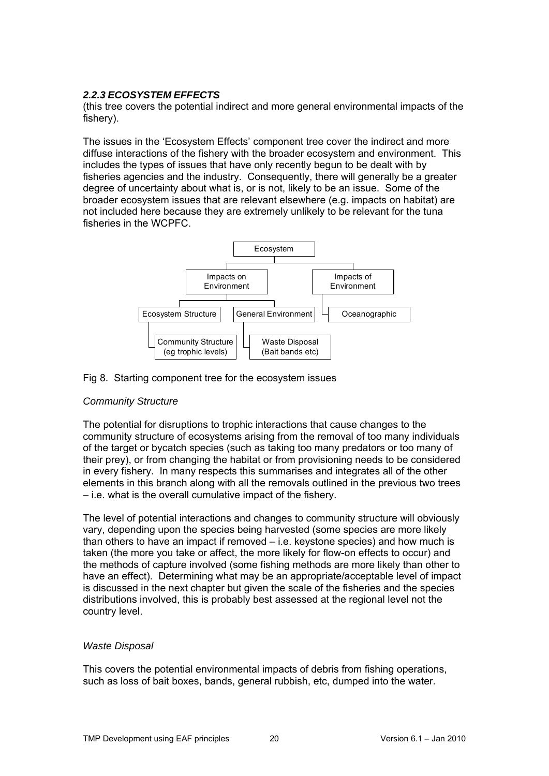## <span id="page-19-0"></span>*2.2.3 ECOSYSTEM EFFECTS*

(this tree covers the potential indirect and more general environmental impacts of the fishery).

The issues in the 'Ecosystem Effects' component tree cover the indirect and more diffuse interactions of the fishery with the broader ecosystem and environment. This includes the types of issues that have only recently begun to be dealt with by fisheries agencies and the industry. Consequently, there will generally be a greater degree of uncertainty about what is, or is not, likely to be an issue. Some of the broader ecosystem issues that are relevant elsewhere (e.g. impacts on habitat) are not included here because they are extremely unlikely to be relevant for the tuna fisheries in the WCPFC.



#### Fig 8. Starting component tree for the ecosystem issues

#### *Community Structure*

The potential for disruptions to trophic interactions that cause changes to the community structure of ecosystems arising from the removal of too many individuals of the target or bycatch species (such as taking too many predators or too many of their prey), or from changing the habitat or from provisioning needs to be considered in every fishery. In many respects this summarises and integrates all of the other elements in this branch along with all the removals outlined in the previous two trees – i.e. what is the overall cumulative impact of the fishery.

The level of potential interactions and changes to community structure will obviously vary, depending upon the species being harvested (some species are more likely than others to have an impact if removed – i.e. keystone species) and how much is taken (the more you take or affect, the more likely for flow-on effects to occur) and the methods of capture involved (some fishing methods are more likely than other to have an effect). Determining what may be an appropriate/acceptable level of impact is discussed in the next chapter but given the scale of the fisheries and the species distributions involved, this is probably best assessed at the regional level not the country level.

#### *Waste Disposal*

This covers the potential environmental impacts of debris from fishing operations, such as loss of bait boxes, bands, general rubbish, etc, dumped into the water.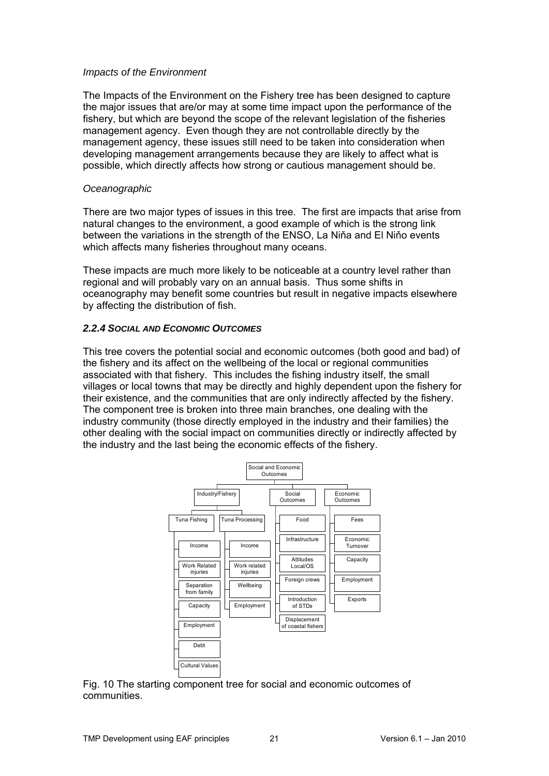#### *Impacts of the Environment*

The Impacts of the Environment on the Fishery tree has been designed to capture the major issues that are/or may at some time impact upon the performance of the fishery, but which are beyond the scope of the relevant legislation of the fisheries management agency. Even though they are not controllable directly by the management agency, these issues still need to be taken into consideration when developing management arrangements because they are likely to affect what is possible, which directly affects how strong or cautious management should be.

#### *Oceanographic*

There are two major types of issues in this tree. The first are impacts that arise from natural changes to the environment, a good example of which is the strong link between the variations in the strength of the ENSO, La Niňa and El Niňo events which affects many fisheries throughout many oceans.

These impacts are much more likely to be noticeable at a country level rather than regional and will probably vary on an annual basis. Thus some shifts in oceanography may benefit some countries but result in negative impacts elsewhere by affecting the distribution of fish.

#### <span id="page-20-0"></span>*2.2.4 SOCIAL AND ECONOMIC OUTCOMES*

This tree covers the potential social and economic outcomes (both good and bad) of the fishery and its affect on the wellbeing of the local or regional communities associated with that fishery. This includes the fishing industry itself, the small villages or local towns that may be directly and highly dependent upon the fishery for their existence, and the communities that are only indirectly affected by the fishery. The component tree is broken into three main branches, one dealing with the industry community (those directly employed in the industry and their families) the other dealing with the social impact on communities directly or indirectly affected by the industry and the last being the economic effects of the fishery.



Fig. 10 The starting component tree for social and economic outcomes of communities.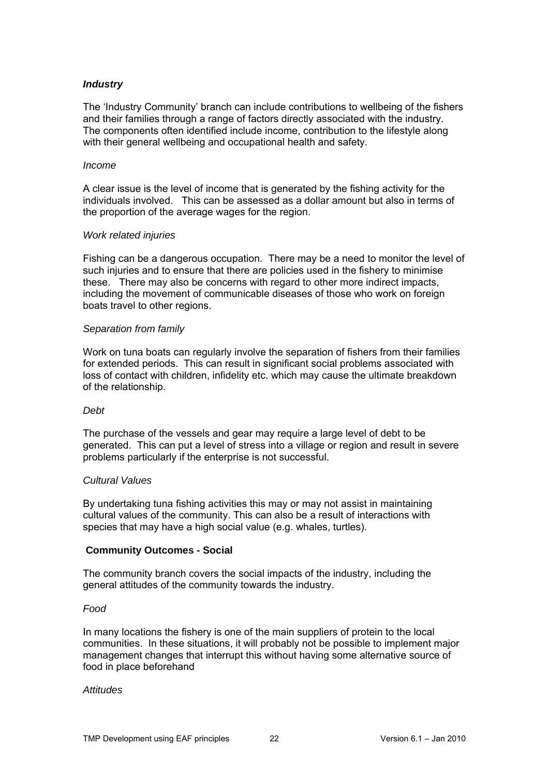## *Industry*

The 'Industry Community' branch can include contributions to wellbeing of the fishers and their families through a range of factors directly associated with the industry. The components often identified include income, contribution to the lifestyle along with their general wellbeing and occupational health and safety.

#### *Income*

A clear issue is the level of income that is generated by the fishing activity for the individuals involved. This can be assessed as a dollar amount but also in terms of the proportion of the average wages for the region.

#### *Work related injuries*

Fishing can be a dangerous occupation. There may be a need to monitor the level of such injuries and to ensure that there are policies used in the fishery to minimise these. There may also be concerns with regard to other more indirect impacts, including the movement of communicable diseases of those who work on foreign boats travel to other regions.

#### *Separation from family*

Work on tuna boats can regularly involve the separation of fishers from their families for extended periods. This can result in significant social problems associated with loss of contact with children, infidelity etc. which may cause the ultimate breakdown of the relationship.

#### *Debt*

The purchase of the vessels and gear may require a large level of debt to be generated. This can put a level of stress into a village or region and result in severe problems particularly if the enterprise is not successful.

#### *Cultural Values*

By undertaking tuna fishing activities this may or may not assist in maintaining cultural values of the community. This can also be a result of interactions with species that may have a high social value (e.g. whales, turtles).

#### **Community Outcomes - Social**

The community branch covers the social impacts of the industry, including the general attitudes of the community towards the industry.

#### *Food*

In many locations the fishery is one of the main suppliers of protein to the local communities. In these situations, it will probably not be possible to implement major management changes that interrupt this without having some alternative source of food in place beforehand

#### *Attitudes*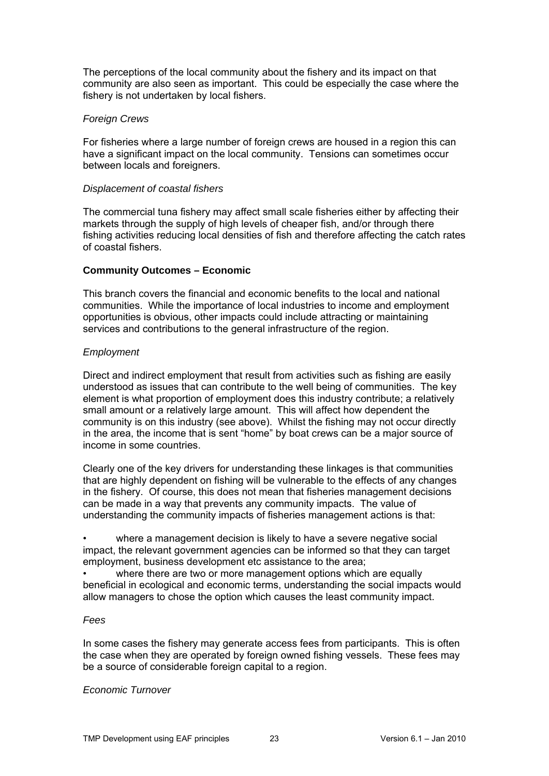The perceptions of the local community about the fishery and its impact on that community are also seen as important. This could be especially the case where the fishery is not undertaken by local fishers.

#### *Foreign Crews*

For fisheries where a large number of foreign crews are housed in a region this can have a significant impact on the local community. Tensions can sometimes occur between locals and foreigners.

#### *Displacement of coastal fishers*

The commercial tuna fishery may affect small scale fisheries either by affecting their markets through the supply of high levels of cheaper fish, and/or through there fishing activities reducing local densities of fish and therefore affecting the catch rates of coastal fishers.

#### **Community Outcomes – Economic**

This branch covers the financial and economic benefits to the local and national communities. While the importance of local industries to income and employment opportunities is obvious, other impacts could include attracting or maintaining services and contributions to the general infrastructure of the region.

#### *Employment*

Direct and indirect employment that result from activities such as fishing are easily understood as issues that can contribute to the well being of communities. The key element is what proportion of employment does this industry contribute; a relatively small amount or a relatively large amount. This will affect how dependent the community is on this industry (see above). Whilst the fishing may not occur directly in the area, the income that is sent "home" by boat crews can be a major source of income in some countries.

Clearly one of the key drivers for understanding these linkages is that communities that are highly dependent on fishing will be vulnerable to the effects of any changes in the fishery. Of course, this does not mean that fisheries management decisions can be made in a way that prevents any community impacts. The value of understanding the community impacts of fisheries management actions is that:

where a management decision is likely to have a severe negative social impact, the relevant government agencies can be informed so that they can target employment, business development etc assistance to the area;

where there are two or more management options which are equally beneficial in ecological and economic terms, understanding the social impacts would allow managers to chose the option which causes the least community impact.

#### *Fees*

In some cases the fishery may generate access fees from participants. This is often the case when they are operated by foreign owned fishing vessels. These fees may be a source of considerable foreign capital to a region.

#### *Economic Turnover*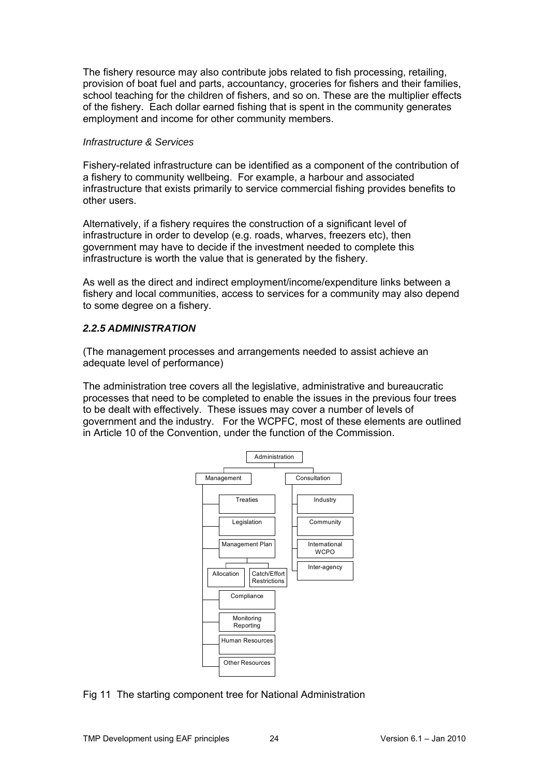The fishery resource may also contribute jobs related to fish processing, retailing, provision of boat fuel and parts, accountancy, groceries for fishers and their families, school teaching for the children of fishers, and so on. These are the multiplier effects of the fishery. Each dollar earned fishing that is spent in the community generates employment and income for other community members.

#### *Infrastructure & Services*

Fishery-related infrastructure can be identified as a component of the contribution of a fishery to community wellbeing. For example, a harbour and associated infrastructure that exists primarily to service commercial fishing provides benefits to other users.

Alternatively, if a fishery requires the construction of a significant level of infrastructure in order to develop (e.g. roads, wharves, freezers etc), then government may have to decide if the investment needed to complete this infrastructure is worth the value that is generated by the fishery.

As well as the direct and indirect employment/income/expenditure links between a fishery and local communities, access to services for a community may also depend to some degree on a fishery.

## <span id="page-23-0"></span>*2.2.5 ADMINISTRATION*

(The management processes and arrangements needed to assist achieve an adequate level of performance)

The administration tree covers all the legislative, administrative and bureaucratic processes that need to be completed to enable the issues in the previous four trees to be dealt with effectively. These issues may cover a number of levels of government and the industry. For the WCPFC, most of these elements are outlined in Article 10 of the Convention, under the function of the Commission.



Fig 11 The starting component tree for National Administration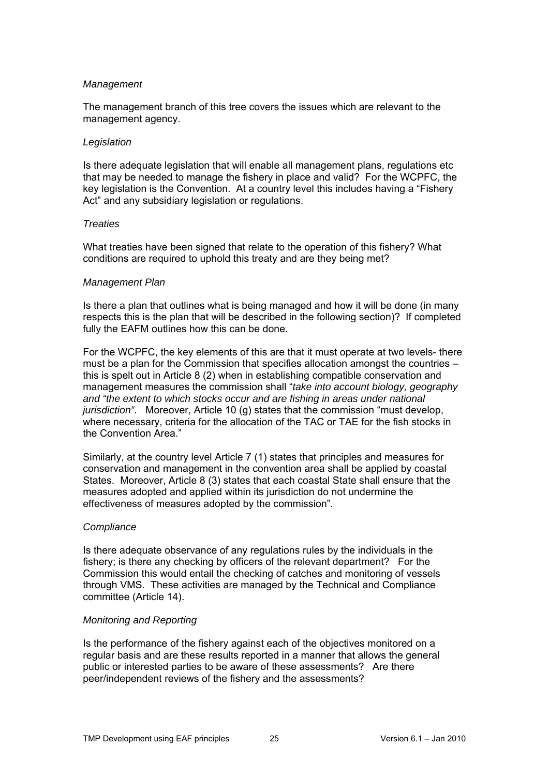#### *Management*

The management branch of this tree covers the issues which are relevant to the management agency.

#### *Legislation*

Is there adequate legislation that will enable all management plans, regulations etc that may be needed to manage the fishery in place and valid? For the WCPFC, the key legislation is the Convention. At a country level this includes having a "Fishery Act" and any subsidiary legislation or regulations.

#### *Treaties*

What treaties have been signed that relate to the operation of this fishery? What conditions are required to uphold this treaty and are they being met?

#### *Management Plan*

Is there a plan that outlines what is being managed and how it will be done (in many respects this is the plan that will be described in the following section)? If completed fully the EAFM outlines how this can be done.

For the WCPFC, the key elements of this are that it must operate at two levels- there must be a plan for the Commission that specifies allocation amongst the countries – this is spelt out in Article 8 (2) when in establishing compatible conservation and management measures the commission shall "*take into account biology, geography and "the extent to which stocks occur and are fishing in areas under national jurisdiction"*. Moreover, Article 10 (g) states that the commission "must develop, where necessary, criteria for the allocation of the TAC or TAE for the fish stocks in the Convention Area."

Similarly, at the country level Article 7 (1) states that principles and measures for conservation and management in the convention area shall be applied by coastal States. Moreover, Article 8 (3) states that each coastal State shall ensure that the measures adopted and applied within its jurisdiction do not undermine the effectiveness of measures adopted by the commission".

#### *Compliance*

Is there adequate observance of any regulations rules by the individuals in the fishery; is there any checking by officers of the relevant department? For the Commission this would entail the checking of catches and monitoring of vessels through VMS. These activities are managed by the Technical and Compliance committee (Article 14).

#### *Monitoring and Reporting*

Is the performance of the fishery against each of the objectives monitored on a regular basis and are these results reported in a manner that allows the general public or interested parties to be aware of these assessments? Are there peer/independent reviews of the fishery and the assessments?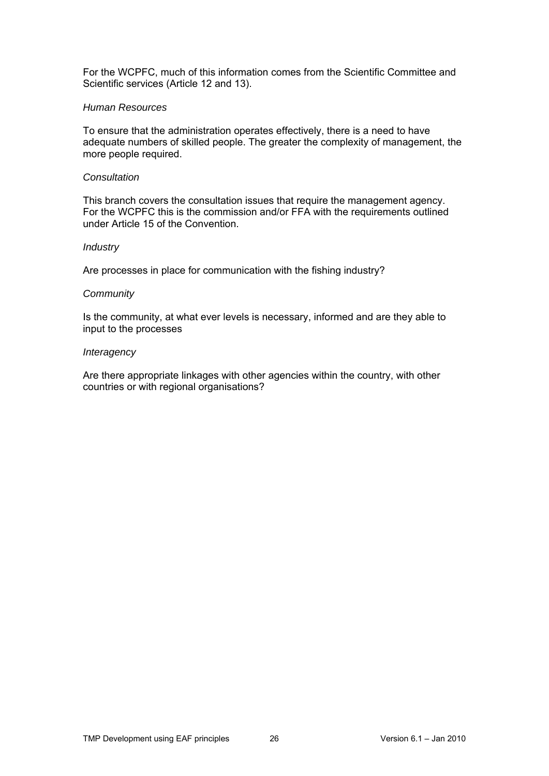For the WCPFC, much of this information comes from the Scientific Committee and Scientific services (Article 12 and 13).

#### *Human Resources*

To ensure that the administration operates effectively, there is a need to have adequate numbers of skilled people. The greater the complexity of management, the more people required.

#### *Consultation*

This branch covers the consultation issues that require the management agency. For the WCPFC this is the commission and/or FFA with the requirements outlined under Article 15 of the Convention.

#### *Industry*

Are processes in place for communication with the fishing industry?

#### *Community*

Is the community, at what ever levels is necessary, informed and are they able to input to the processes

#### *Interagency*

Are there appropriate linkages with other agencies within the country, with other countries or with regional organisations?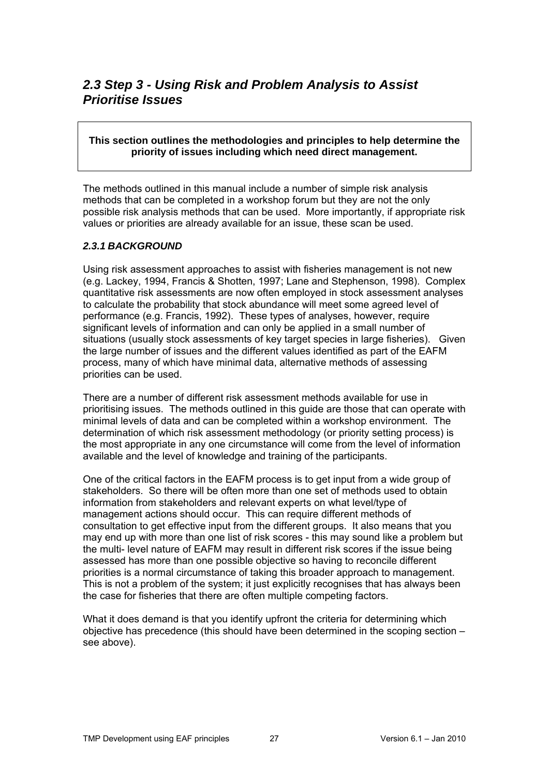## <span id="page-26-0"></span>*2.3 Step 3 - Using Risk and Problem Analysis to Assist Prioritise Issues*

#### **This section outlines the methodologies and principles to help determine the priority of issues including which need direct management.**

The methods outlined in this manual include a number of simple risk analysis methods that can be completed in a workshop forum but they are not the only possible risk analysis methods that can be used. More importantly, if appropriate risk values or priorities are already available for an issue, these scan be used.

#### <span id="page-26-1"></span>*2.3.1 BACKGROUND*

Using risk assessment approaches to assist with fisheries management is not new (e.g. Lackey, 1994, Francis & Shotten, 1997; Lane and Stephenson, 1998). Complex quantitative risk assessments are now often employed in stock assessment analyses to calculate the probability that stock abundance will meet some agreed level of performance (e.g. Francis, 1992). These types of analyses, however, require significant levels of information and can only be applied in a small number of situations (usually stock assessments of key target species in large fisheries). Given the large number of issues and the different values identified as part of the EAFM process, many of which have minimal data, alternative methods of assessing priorities can be used.

There are a number of different risk assessment methods available for use in prioritising issues. The methods outlined in this guide are those that can operate with minimal levels of data and can be completed within a workshop environment. The determination of which risk assessment methodology (or priority setting process) is the most appropriate in any one circumstance will come from the level of information available and the level of knowledge and training of the participants.

One of the critical factors in the EAFM process is to get input from a wide group of stakeholders. So there will be often more than one set of methods used to obtain information from stakeholders and relevant experts on what level/type of management actions should occur. This can require different methods of consultation to get effective input from the different groups. It also means that you may end up with more than one list of risk scores - this may sound like a problem but the multi- level nature of EAFM may result in different risk scores if the issue being assessed has more than one possible objective so having to reconcile different priorities is a normal circumstance of taking this broader approach to management. This is not a problem of the system; it just explicitly recognises that has always been the case for fisheries that there are often multiple competing factors.

What it does demand is that you identify upfront the criteria for determining which objective has precedence (this should have been determined in the scoping section – see above).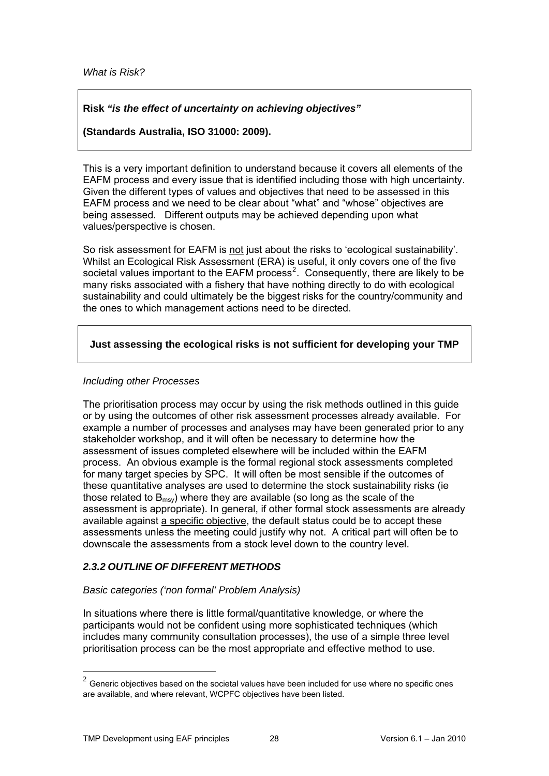*What is Risk?* 

## **Risk** *"is the effect of uncertainty on achieving objectives"*

**(Standards Australia, ISO 31000: 2009).** 

This is a very important definition to understand because it covers all elements of the EAFM process and every issue that is identified including those with high uncertainty. Given the different types of values and objectives that need to be assessed in this EAFM process and we need to be clear about "what" and "whose" objectives are being assessed. Different outputs may be achieved depending upon what values/perspective is chosen.

So risk assessment for EAFM is not just about the risks to 'ecological sustainability'. Whilst an Ecological Risk Assessment (ERA) is useful, it only covers one of the five societal values important to the EAFM process<sup>[2](#page-27-1)</sup>. Consequently, there are likely to be many risks associated with a fishery that have nothing directly to do with ecological sustainability and could ultimately be the biggest risks for the country/community and the ones to which management actions need to be directed.

## **Just assessing the ecological risks is not sufficient for developing your TMP**

#### *Including other Processes*

The prioritisation process may occur by using the risk methods outlined in this guide or by using the outcomes of other risk assessment processes already available. For example a number of processes and analyses may have been generated prior to any stakeholder workshop, and it will often be necessary to determine how the assessment of issues completed elsewhere will be included within the EAFM process. An obvious example is the formal regional stock assessments completed for many target species by SPC. It will often be most sensible if the outcomes of these quantitative analyses are used to determine the stock sustainability risks (ie those related to  $B_{\text{msv}}$ ) where they are available (so long as the scale of the assessment is appropriate). In general, if other formal stock assessments are already available against a specific objective, the default status could be to accept these assessments unless the meeting could justify why not. A critical part will often be to downscale the assessments from a stock level down to the country level.

#### <span id="page-27-0"></span>*2.3.2 OUTLINE OF DIFFERENT METHODS*

#### *Basic categories ('non formal' Problem Analysis)*

In situations where there is little formal/quantitative knowledge, or where the participants would not be confident using more sophisticated techniques (which includes many community consultation processes), the use of a simple three level prioritisation process can be the most appropriate and effective method to use.

1

<span id="page-27-1"></span> $2$  Generic obiectives based on the societal values have been included for use where no specific ones are available, and where relevant, WCPFC objectives have been listed.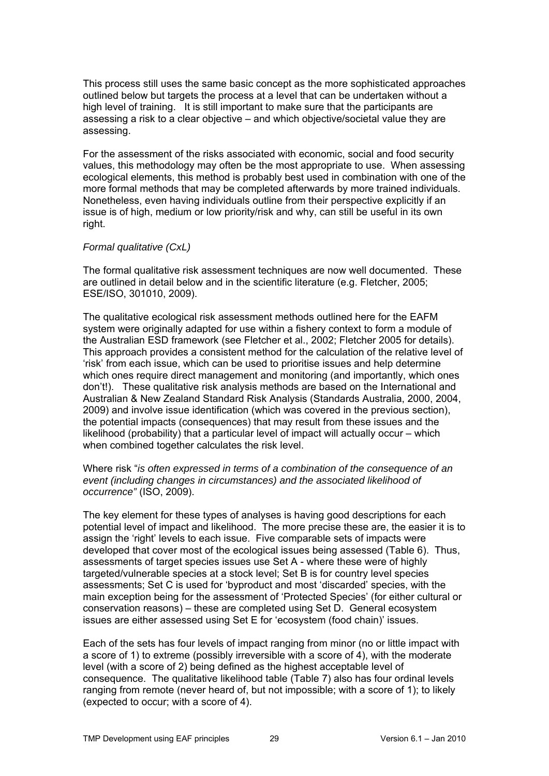This process still uses the same basic concept as the more sophisticated approaches outlined below but targets the process at a level that can be undertaken without a high level of training. It is still important to make sure that the participants are assessing a risk to a clear objective – and which objective/societal value they are assessing.

For the assessment of the risks associated with economic, social and food security values, this methodology may often be the most appropriate to use. When assessing ecological elements, this method is probably best used in combination with one of the more formal methods that may be completed afterwards by more trained individuals. Nonetheless, even having individuals outline from their perspective explicitly if an issue is of high, medium or low priority/risk and why, can still be useful in its own right.

#### *Formal qualitative (CxL)*

The formal qualitative risk assessment techniques are now well documented. These are outlined in detail below and in the scientific literature (e.g. Fletcher, 2005; ESE/ISO, 301010, 2009).

The qualitative ecological risk assessment methods outlined here for the EAFM system were originally adapted for use within a fishery context to form a module of the Australian ESD framework (see Fletcher et al., 2002; Fletcher 2005 for details). This approach provides a consistent method for the calculation of the relative level of 'risk' from each issue, which can be used to prioritise issues and help determine which ones require direct management and monitoring (and importantly, which ones don't!). These qualitative risk analysis methods are based on the International and Australian & New Zealand Standard Risk Analysis (Standards Australia, 2000, 2004, 2009) and involve issue identification (which was covered in the previous section), the potential impacts (consequences) that may result from these issues and the likelihood (probability) that a particular level of impact will actually occur – which when combined together calculates the risk level.

#### Where risk "*is often expressed in terms of a combination of the consequence of an event (including changes in circumstances) and the associated likelihood of occurrence"* (ISO, 2009).

The key element for these types of analyses is having good descriptions for each potential level of impact and likelihood. The more precise these are, the easier it is to assign the 'right' levels to each issue. Five comparable sets of impacts were developed that cover most of the ecological issues being assessed (Table 6). Thus, assessments of target species issues use Set A - where these were of highly targeted/vulnerable species at a stock level; Set B is for country level species assessments; Set C is used for 'byproduct and most 'discarded' species, with the main exception being for the assessment of 'Protected Species' (for either cultural or conservation reasons) – these are completed using Set D. General ecosystem issues are either assessed using Set E for 'ecosystem (food chain)' issues.

Each of the sets has four levels of impact ranging from minor (no or little impact with a score of 1) to extreme (possibly irreversible with a score of 4), with the moderate level (with a score of 2) being defined as the highest acceptable level of consequence. The qualitative likelihood table (Table 7) also has four ordinal levels ranging from remote (never heard of, but not impossible; with a score of 1); to likely (expected to occur; with a score of 4).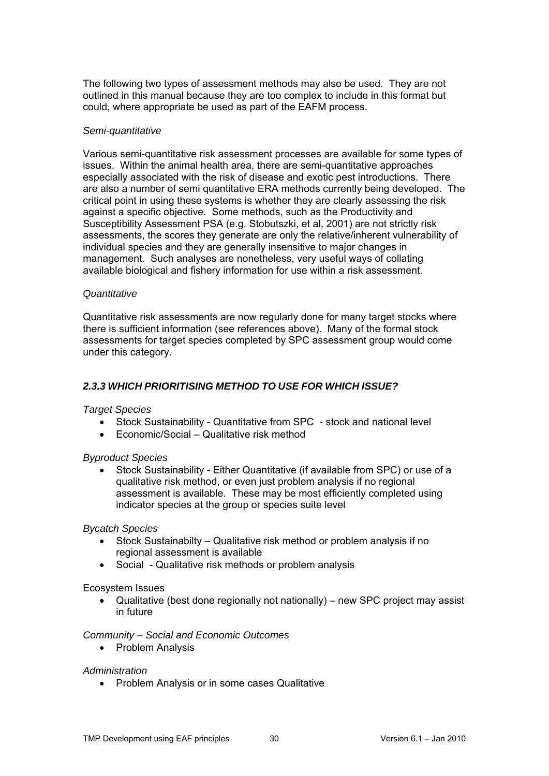The following two types of assessment methods may also be used. They are not outlined in this manual because they are too complex to include in this format but could, where appropriate be used as part of the EAFM process.

#### *Semi-quantitative*

Various semi-quantitative risk assessment processes are available for some types of issues. Within the animal health area, there are semi-quantitative approaches especially associated with the risk of disease and exotic pest introductions. There are also a number of semi quantitative ERA methods currently being developed. The critical point in using these systems is whether they are clearly assessing the risk against a specific objective. Some methods, such as the Productivity and Susceptibility Assessment PSA (e.g. Stobutszki, et al, 2001) are not strictly risk assessments, the scores they generate are only the relative/inherent vulnerability of individual species and they are generally insensitive to major changes in management. Such analyses are nonetheless, very useful ways of collating available biological and fishery information for use within a risk assessment.

#### *Quantitative*

Quantitative risk assessments are now regularly done for many target stocks where there is sufficient information (see references above). Many of the formal stock assessments for target species completed by SPC assessment group would come under this category.

### <span id="page-29-0"></span>*2.3.3 WHICH PRIORITISING METHOD TO USE FOR WHICH ISSUE?*

#### *Target Species*

- Stock Sustainability Quantitative from SPC stock and national level
- Economic/Social Qualitative risk method

#### *Byproduct Species*

 Stock Sustainability - Either Quantitative (if available from SPC) or use of a qualitative risk method, or even just problem analysis if no regional assessment is available. These may be most efficiently completed using indicator species at the group or species suite level

#### *Bycatch Species*

- Stock Sustainabilty Qualitative risk method or problem analysis if no regional assessment is available
- Social Qualitative risk methods or problem analysis

#### Ecosystem Issues

 Qualitative (best done regionally not nationally) – new SPC project may assist in future

#### *Community – Social and Economic Outcomes*

• Problem Analysis

#### *Administration*

• Problem Analysis or in some cases Qualitative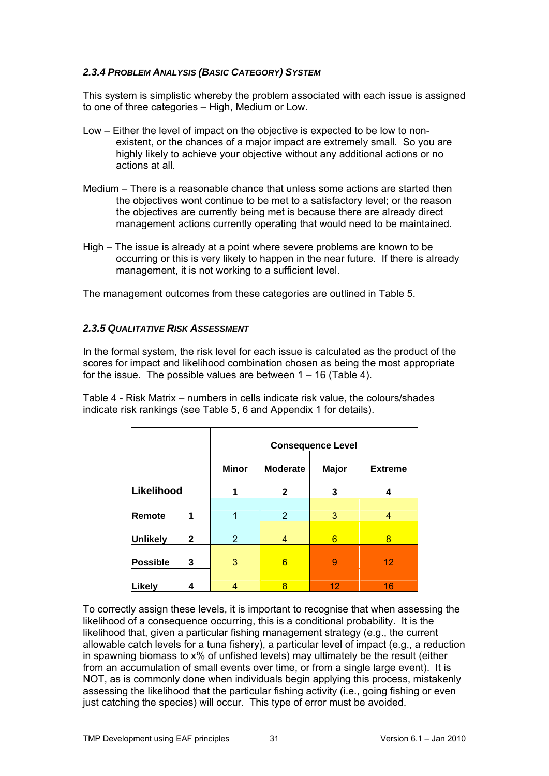### <span id="page-30-0"></span>*2.3.4 PROBLEM ANALYSIS (BASIC CATEGORY) SYSTEM*

This system is simplistic whereby the problem associated with each issue is assigned to one of three categories – High, Medium or Low.

- Low Either the level of impact on the objective is expected to be low to nonexistent, or the chances of a major impact are extremely small. So you are highly likely to achieve your objective without any additional actions or no actions at all.
- Medium There is a reasonable chance that unless some actions are started then the objectives wont continue to be met to a satisfactory level; or the reason the objectives are currently being met is because there are already direct management actions currently operating that would need to be maintained.
- High The issue is already at a point where severe problems are known to be occurring or this is very likely to happen in the near future. If there is already management, it is not working to a sufficient level.

The management outcomes from these categories are outlined in Table 5.

#### <span id="page-30-1"></span>*2.3.5 QUALITATIVE RISK ASSESSMENT*

In the formal system, the risk level for each issue is calculated as the product of the scores for impact and likelihood combination chosen as being the most appropriate for the issue. The possible values are between  $1 - 16$  (Table 4).

Table 4 - Risk Matrix – numbers in cells indicate risk value, the colours/shades indicate risk rankings (see Table 5, 6 and Appendix 1 for details).

|                 |              | <b>Consequence Level</b> |                 |              |                |
|-----------------|--------------|--------------------------|-----------------|--------------|----------------|
|                 |              | <b>Minor</b>             | <b>Moderate</b> | <b>Major</b> | <b>Extreme</b> |
| Likelihood      |              | 1                        | $\mathbf{2}$    | 3            | 4              |
| Remote          | 1            | 1                        | $\overline{2}$  | 3            | 4              |
| <b>Unlikely</b> | $\mathbf{2}$ | $\overline{2}$           | 4               | 6            | 8              |
| <b>Possible</b> | 3            | 3                        | 6               | 9            | 12             |
| <b>Likely</b>   | 4            |                          | 8               | 12           | 16             |

To correctly assign these levels, it is important to recognise that when assessing the likelihood of a consequence occurring, this is a conditional probability. It is the likelihood that, given a particular fishing management strategy (e.g., the current allowable catch levels for a tuna fishery), a particular level of impact (e.g., a reduction in spawning biomass to x% of unfished levels) may ultimately be the result (either from an accumulation of small events over time, or from a single large event). It is NOT, as is commonly done when individuals begin applying this process, mistakenly assessing the likelihood that the particular fishing activity (i.e., going fishing or even just catching the species) will occur. This type of error must be avoided.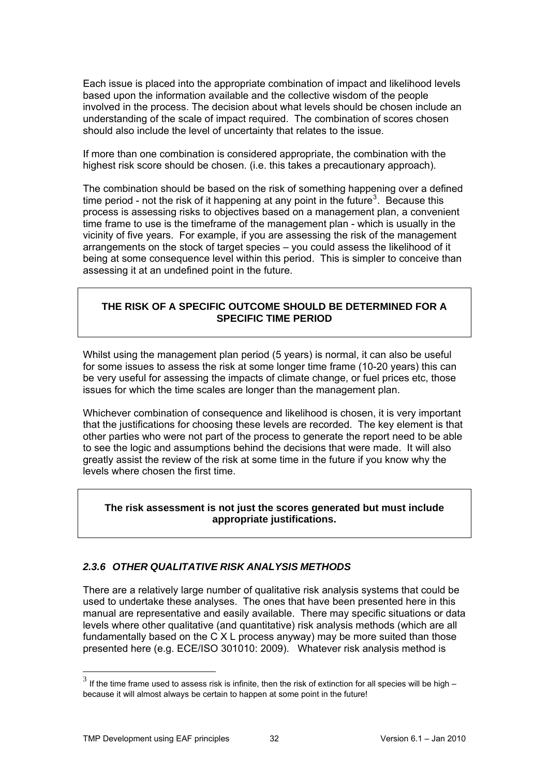Each issue is placed into the appropriate combination of impact and likelihood levels based upon the information available and the collective wisdom of the people involved in the process. The decision about what levels should be chosen include an understanding of the scale of impact required. The combination of scores chosen should also include the level of uncertainty that relates to the issue.

If more than one combination is considered appropriate, the combination with the highest risk score should be chosen. (i.e. this takes a precautionary approach).

The combination should be based on the risk of something happening over a defined time period - not the risk of it happening at any point in the future<sup>[3](#page-31-1)</sup>. Because this process is assessing risks to objectives based on a management plan, a convenient time frame to use is the timeframe of the management plan - which is usually in the vicinity of five years. For example, if you are assessing the risk of the management arrangements on the stock of target species – you could assess the likelihood of it being at some consequence level within this period. This is simpler to conceive than assessing it at an undefined point in the future.

## **THE RISK OF A SPECIFIC OUTCOME SHOULD BE DETERMINED FOR A SPECIFIC TIME PERIOD**

Whilst using the management plan period (5 years) is normal, it can also be useful for some issues to assess the risk at some longer time frame (10-20 years) this can be very useful for assessing the impacts of climate change, or fuel prices etc, those issues for which the time scales are longer than the management plan.

Whichever combination of consequence and likelihood is chosen, it is very important that the justifications for choosing these levels are recorded. The key element is that other parties who were not part of the process to generate the report need to be able to see the logic and assumptions behind the decisions that were made. It will also greatly assist the review of the risk at some time in the future if you know why the levels where chosen the first time.

#### **The risk assessment is not just the scores generated but must include appropriate justifications.**

#### <span id="page-31-0"></span>*2.3.6 OTHER QUALITATIVE RISK ANALYSIS METHODS*

There are a relatively large number of qualitative risk analysis systems that could be used to undertake these analyses. The ones that have been presented here in this manual are representative and easily available. There may specific situations or data levels where other qualitative (and quantitative) risk analysis methods (which are all fundamentally based on the C X L process anyway) may be more suited than those presented here (e.g. ECE/ISO 301010: 2009). Whatever risk analysis method is

1

<span id="page-31-1"></span> $3$  If the time frame used to assess risk is infinite, then the risk of extinction for all species will be high – because it will almost always be certain to happen at some point in the future!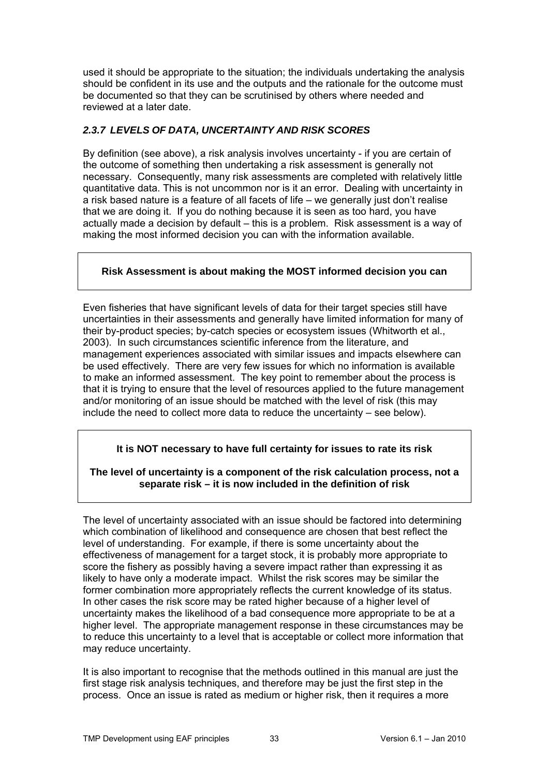used it should be appropriate to the situation; the individuals undertaking the analysis should be confident in its use and the outputs and the rationale for the outcome must be documented so that they can be scrutinised by others where needed and reviewed at a later date.

## <span id="page-32-0"></span>*2.3.7 LEVELS OF DATA, UNCERTAINTY AND RISK SCORES*

By definition (see above), a risk analysis involves uncertainty - if you are certain of the outcome of something then undertaking a risk assessment is generally not necessary. Consequently, many risk assessments are completed with relatively little quantitative data. This is not uncommon nor is it an error. Dealing with uncertainty in a risk based nature is a feature of all facets of life – we generally just don't realise that we are doing it. If you do nothing because it is seen as too hard, you have actually made a decision by default – this is a problem. Risk assessment is a way of making the most informed decision you can with the information available.

## **Risk Assessment is about making the MOST informed decision you can**

Even fisheries that have significant levels of data for their target species still have uncertainties in their assessments and generally have limited information for many of their by-product species; by-catch species or ecosystem issues (Whitworth et al., 2003). In such circumstances scientific inference from the literature, and management experiences associated with similar issues and impacts elsewhere can be used effectively. There are very few issues for which no information is available to make an informed assessment. The key point to remember about the process is that it is trying to ensure that the level of resources applied to the future management and/or monitoring of an issue should be matched with the level of risk (this may include the need to collect more data to reduce the uncertainty – see below).

## **It is NOT necessary to have full certainty for issues to rate its risk**

#### **The level of uncertainty is a component of the risk calculation process, not a separate risk – it is now included in the definition of risk**

The level of uncertainty associated with an issue should be factored into determining which combination of likelihood and consequence are chosen that best reflect the level of understanding. For example, if there is some uncertainty about the effectiveness of management for a target stock, it is probably more appropriate to score the fishery as possibly having a severe impact rather than expressing it as likely to have only a moderate impact. Whilst the risk scores may be similar the former combination more appropriately reflects the current knowledge of its status. In other cases the risk score may be rated higher because of a higher level of uncertainty makes the likelihood of a bad consequence more appropriate to be at a higher level. The appropriate management response in these circumstances may be to reduce this uncertainty to a level that is acceptable or collect more information that may reduce uncertainty.

It is also important to recognise that the methods outlined in this manual are just the first stage risk analysis techniques, and therefore may be just the first step in the process. Once an issue is rated as medium or higher risk, then it requires a more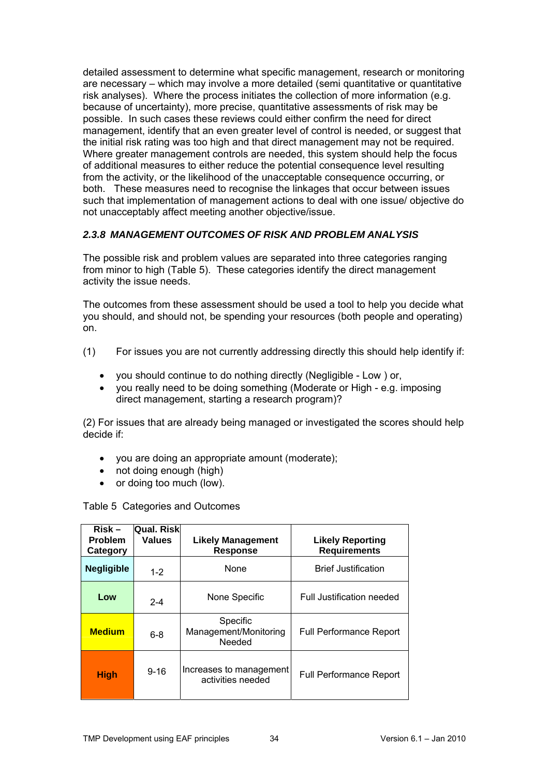detailed assessment to determine what specific management, research or monitoring are necessary – which may involve a more detailed (semi quantitative or quantitative risk analyses). Where the process initiates the collection of more information (e.g. because of uncertainty), more precise, quantitative assessments of risk may be possible. In such cases these reviews could either confirm the need for direct management, identify that an even greater level of control is needed, or suggest that the initial risk rating was too high and that direct management may not be required. Where greater management controls are needed, this system should help the focus of additional measures to either reduce the potential consequence level resulting from the activity, or the likelihood of the unacceptable consequence occurring, or both. These measures need to recognise the linkages that occur between issues such that implementation of management actions to deal with one issue/ objective do not unacceptably affect meeting another objective/issue.

## <span id="page-33-0"></span>*2.3.8 MANAGEMENT OUTCOMES OF RISK AND PROBLEM ANALYSIS*

The possible risk and problem values are separated into three categories ranging from minor to high (Table 5). These categories identify the direct management activity the issue needs.

The outcomes from these assessment should be used a tool to help you decide what you should, and should not, be spending your resources (both people and operating) on.

- (1) For issues you are not currently addressing directly this should help identify if:
	- you should continue to do nothing directly (Negligible Low ) or,
	- you really need to be doing something (Moderate or High e.g. imposing direct management, starting a research program)?

(2) For issues that are already being managed or investigated the scores should help decide if:

- you are doing an appropriate amount (moderate);
- not doing enough (high)
- or doing too much (low).

Table 5 Categories and Outcomes

| $Risk -$<br><b>Problem</b><br>Category | <b>Qual. Risk</b><br><b>Values</b> | <b>Likely Management</b><br><b>Response</b>  | <b>Likely Reporting</b><br><b>Requirements</b> |
|----------------------------------------|------------------------------------|----------------------------------------------|------------------------------------------------|
| <b>Negligible</b>                      | $1 - 2$                            | None                                         | <b>Brief Justification</b>                     |
| Low                                    | $2 - 4$                            | None Specific                                | Full Justification needed                      |
| <b>Medium</b>                          | $6 - 8$                            | Specific<br>Management/Monitoring<br>Needed  | <b>Full Performance Report</b>                 |
| <b>High</b>                            | $9 - 16$                           | Increases to management<br>activities needed | <b>Full Performance Report</b>                 |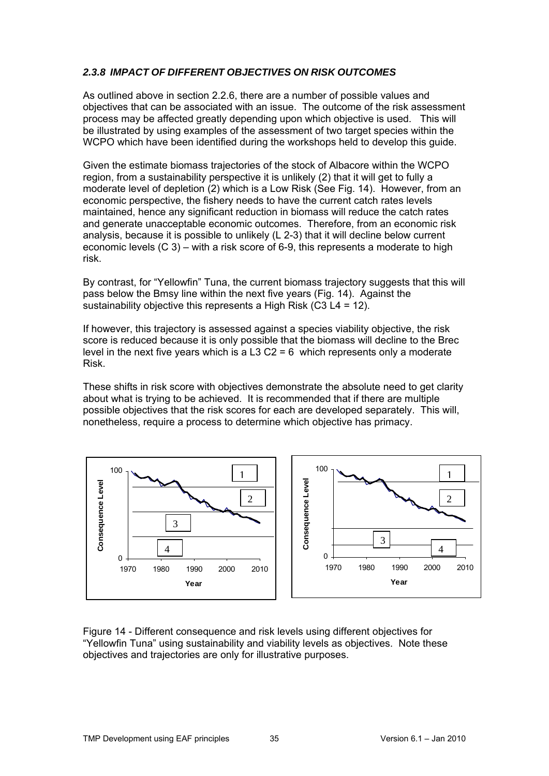### <span id="page-34-0"></span>*2.3.8 IMPACT OF DIFFERENT OBJECTIVES ON RISK OUTCOMES*

As outlined above in section 2.2.6, there are a number of possible values and objectives that can be associated with an issue. The outcome of the risk assessment process may be affected greatly depending upon which objective is used. This will be illustrated by using examples of the assessment of two target species within the WCPO which have been identified during the workshops held to develop this guide.

Given the estimate biomass trajectories of the stock of Albacore within the WCPO region, from a sustainability perspective it is unlikely (2) that it will get to fully a moderate level of depletion (2) which is a Low Risk (See Fig. 14). However, from an economic perspective, the fishery needs to have the current catch rates levels maintained, hence any significant reduction in biomass will reduce the catch rates and generate unacceptable economic outcomes. Therefore, from an economic risk analysis, because it is possible to unlikely (L 2-3) that it will decline below current economic levels (C 3) – with a risk score of 6-9, this represents a moderate to high risk.

By contrast, for "Yellowfin" Tuna, the current biomass trajectory suggests that this will pass below the Bmsy line within the next five years (Fig. 14). Against the sustainability objective this represents a High Risk (C3 L4 = 12).

If however, this trajectory is assessed against a species viability objective, the risk score is reduced because it is only possible that the biomass will decline to the Brec level in the next five years which is a L3 C2 = 6 which represents only a moderate Risk.

These shifts in risk score with objectives demonstrate the absolute need to get clarity about what is trying to be achieved. It is recommended that if there are multiple possible objectives that the risk scores for each are developed separately. This will, nonetheless, require a process to determine which objective has primacy.



Figure 14 - Different consequence and risk levels using different objectives for "Yellowfin Tuna" using sustainability and viability levels as objectives. Note these objectives and trajectories are only for illustrative purposes.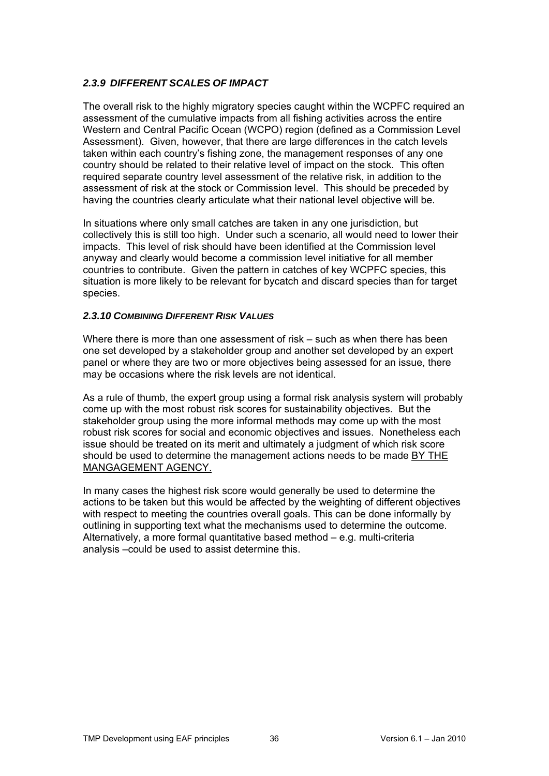## <span id="page-35-0"></span>*2.3.9 DIFFERENT SCALES OF IMPACT*

The overall risk to the highly migratory species caught within the WCPFC required an assessment of the cumulative impacts from all fishing activities across the entire Western and Central Pacific Ocean (WCPO) region (defined as a Commission Level Assessment). Given, however, that there are large differences in the catch levels taken within each country's fishing zone, the management responses of any one country should be related to their relative level of impact on the stock. This often required separate country level assessment of the relative risk, in addition to the assessment of risk at the stock or Commission level. This should be preceded by having the countries clearly articulate what their national level objective will be.

In situations where only small catches are taken in any one jurisdiction, but collectively this is still too high. Under such a scenario, all would need to lower their impacts. This level of risk should have been identified at the Commission level anyway and clearly would become a commission level initiative for all member countries to contribute. Given the pattern in catches of key WCPFC species, this situation is more likely to be relevant for bycatch and discard species than for target species.

#### <span id="page-35-1"></span>*2.3.10 COMBINING DIFFERENT RISK VALUES*

Where there is more than one assessment of risk – such as when there has been one set developed by a stakeholder group and another set developed by an expert panel or where they are two or more objectives being assessed for an issue, there may be occasions where the risk levels are not identical.

As a rule of thumb, the expert group using a formal risk analysis system will probably come up with the most robust risk scores for sustainability objectives. But the stakeholder group using the more informal methods may come up with the most robust risk scores for social and economic objectives and issues. Nonetheless each issue should be treated on its merit and ultimately a judgment of which risk score should be used to determine the management actions needs to be made BY THE MANGAGEMENT AGENCY.

In many cases the highest risk score would generally be used to determine the actions to be taken but this would be affected by the weighting of different objectives with respect to meeting the countries overall goals. This can be done informally by outlining in supporting text what the mechanisms used to determine the outcome. Alternatively, a more formal quantitative based method – e.g. multi-criteria analysis –could be used to assist determine this.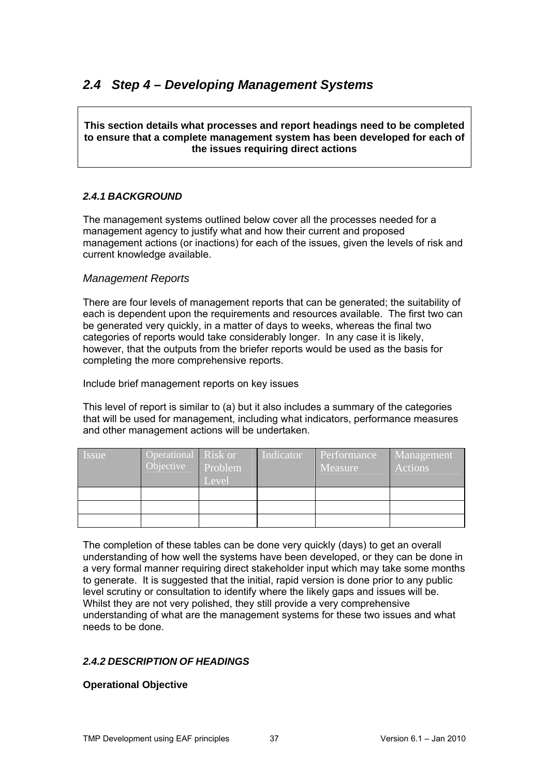## <span id="page-36-0"></span>*2.4 Step 4 – Developing Management Systems*

**This section details what processes and report headings need to be completed to ensure that a complete management system has been developed for each of the issues requiring direct actions** 

## <span id="page-36-1"></span>*2.4.1 BACKGROUND*

The management systems outlined below cover all the processes needed for a management agency to justify what and how their current and proposed management actions (or inactions) for each of the issues, given the levels of risk and current knowledge available.

## <span id="page-36-2"></span>*Management Reports*

There are four levels of management reports that can be generated; the suitability of each is dependent upon the requirements and resources available. The first two can be generated very quickly, in a matter of days to weeks, whereas the final two categories of reports would take considerably longer. In any case it is likely, however, that the outputs from the briefer reports would be used as the basis for completing the more comprehensive reports.

Include brief management reports on key issues

This level of report is similar to (a) but it also includes a summary of the categories that will be used for management, including what indicators, performance measures and other management actions will be undertaken.

| <i>Issue</i> | Operational Risk or<br>Objective | Problem<br>Level | Indicator | Performance<br>Measure | Management<br>Actions |
|--------------|----------------------------------|------------------|-----------|------------------------|-----------------------|
|              |                                  |                  |           |                        |                       |
|              |                                  |                  |           |                        |                       |
|              |                                  |                  |           |                        |                       |

The completion of these tables can be done very quickly (days) to get an overall understanding of how well the systems have been developed, or they can be done in a very formal manner requiring direct stakeholder input which may take some months to generate. It is suggested that the initial, rapid version is done prior to any public level scrutiny or consultation to identify where the likely gaps and issues will be. Whilst they are not very polished, they still provide a very comprehensive understanding of what are the management systems for these two issues and what needs to be done.

## <span id="page-36-3"></span>*2.4.2 DESCRIPTION OF HEADINGS*

#### **Operational Objective**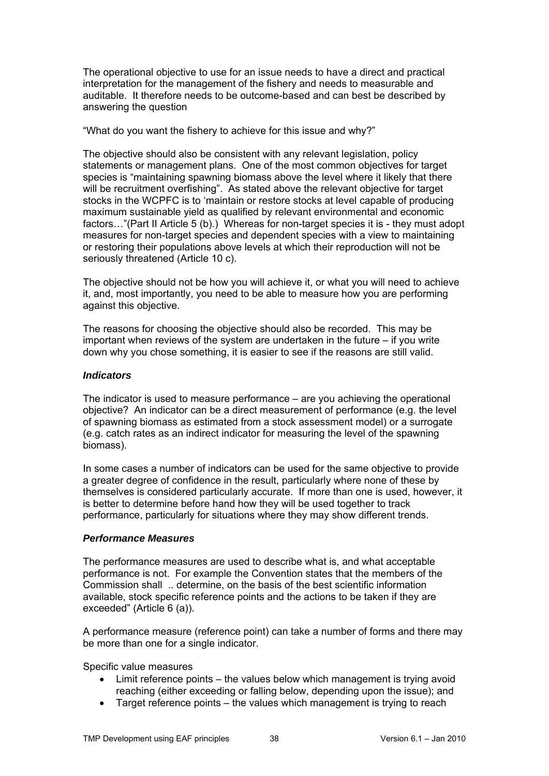The operational objective to use for an issue needs to have a direct and practical interpretation for the management of the fishery and needs to measurable and auditable. It therefore needs to be outcome-based and can best be described by answering the question

"What do you want the fishery to achieve for this issue and why?"

The objective should also be consistent with any relevant legislation, policy statements or management plans. One of the most common objectives for target species is "maintaining spawning biomass above the level where it likely that there will be recruitment overfishing". As stated above the relevant objective for target stocks in the WCPFC is to 'maintain or restore stocks at level capable of producing maximum sustainable yield as qualified by relevant environmental and economic factors…"(Part II Article 5 (b).) Whereas for non-target species it is - they must adopt measures for non-target species and dependent species with a view to maintaining or restoring their populations above levels at which their reproduction will not be seriously threatened (Article 10 c).

The objective should not be how you will achieve it, or what you will need to achieve it, and, most importantly, you need to be able to measure how you are performing against this objective.

The reasons for choosing the objective should also be recorded. This may be important when reviews of the system are undertaken in the future – if you write down why you chose something, it is easier to see if the reasons are still valid.

#### *Indicators*

The indicator is used to measure performance – are you achieving the operational objective? An indicator can be a direct measurement of performance (e.g. the level of spawning biomass as estimated from a stock assessment model) or a surrogate (e.g. catch rates as an indirect indicator for measuring the level of the spawning biomass).

In some cases a number of indicators can be used for the same objective to provide a greater degree of confidence in the result, particularly where none of these by themselves is considered particularly accurate. If more than one is used, however, it is better to determine before hand how they will be used together to track performance, particularly for situations where they may show different trends.

#### *Performance Measures*

The performance measures are used to describe what is, and what acceptable performance is not. For example the Convention states that the members of the Commission shall .. determine, on the basis of the best scientific information available, stock specific reference points and the actions to be taken if they are exceeded" (Article 6 (a)).

A performance measure (reference point) can take a number of forms and there may be more than one for a single indicator.

Specific value measures

- Limit reference points the values below which management is trying avoid reaching (either exceeding or falling below, depending upon the issue); and
- Target reference points the values which management is trying to reach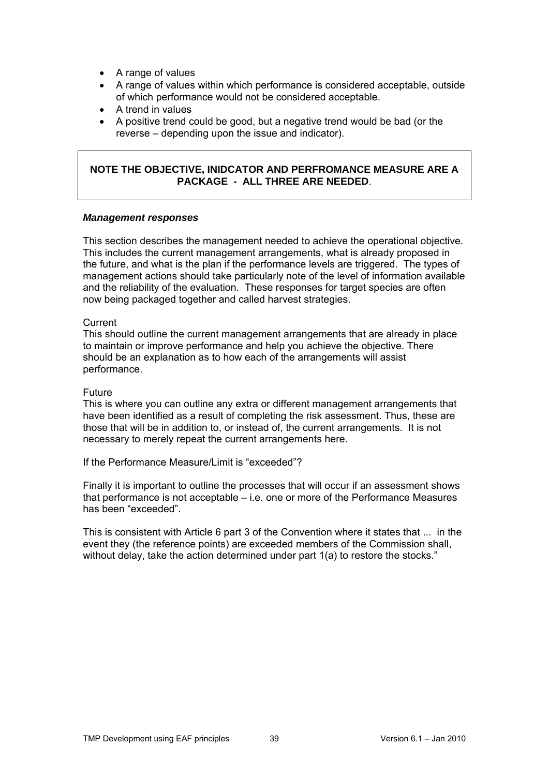- A range of values
- A range of values within which performance is considered acceptable, outside of which performance would not be considered acceptable.
- A trend in values
- A positive trend could be good, but a negative trend would be bad (or the reverse – depending upon the issue and indicator).

#### **NOTE THE OBJECTIVE, INIDCATOR AND PERFROMANCE MEASURE ARE A PACKAGE - ALL THREE ARE NEEDED**.

#### *Management responses*

This section describes the management needed to achieve the operational objective. This includes the current management arrangements, what is already proposed in the future, and what is the plan if the performance levels are triggered. The types of management actions should take particularly note of the level of information available and the reliability of the evaluation. These responses for target species are often now being packaged together and called harvest strategies.

#### **Current**

This should outline the current management arrangements that are already in place to maintain or improve performance and help you achieve the objective. There should be an explanation as to how each of the arrangements will assist performance.

#### Future

This is where you can outline any extra or different management arrangements that have been identified as a result of completing the risk assessment. Thus, these are those that will be in addition to, or instead of, the current arrangements. It is not necessary to merely repeat the current arrangements here.

If the Performance Measure/Limit is "exceeded"?

Finally it is important to outline the processes that will occur if an assessment shows that performance is not acceptable – i.e. one or more of the Performance Measures has been "exceeded".

This is consistent with Article 6 part 3 of the Convention where it states that ... in the event they (the reference points) are exceeded members of the Commission shall, without delay, take the action determined under part 1(a) to restore the stocks."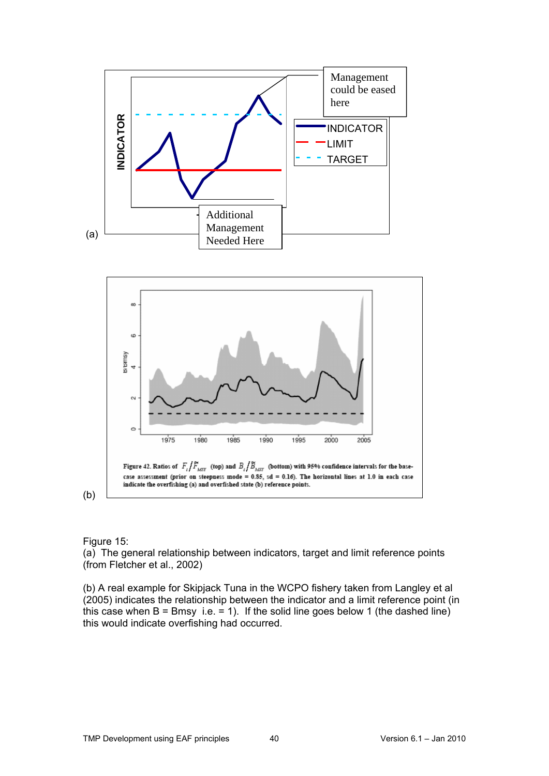



(b)

Figure 15:

(a) The general relationship between indicators, target and limit reference points (from Fletcher et al., 2002)

(b) A real example for Skipjack Tuna in the WCPO fishery taken from Langley et al (2005) indicates the relationship between the indicator and a limit reference point (in this case when  $B = B$ msy i.e. = 1). If the solid line goes below 1 (the dashed line) this would indicate overfishing had occurred.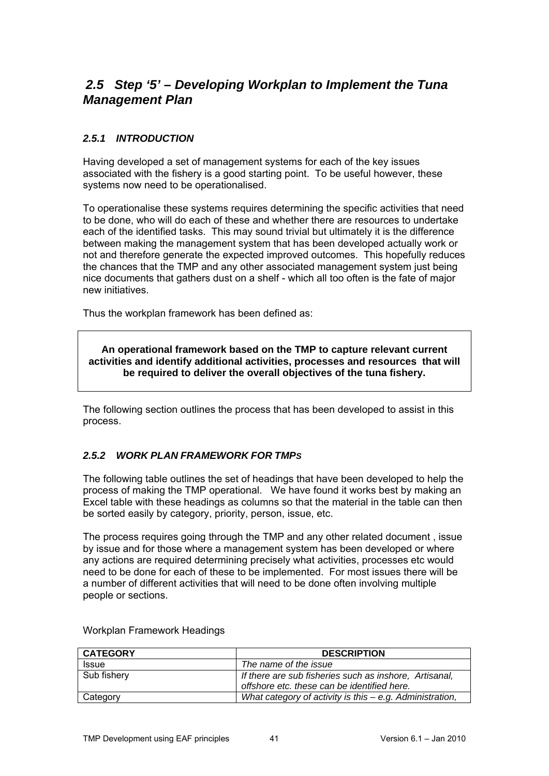## <span id="page-40-0"></span>*2.5 Step '5' – Developing Workplan to Implement the Tuna Management Plan*

## <span id="page-40-1"></span>*2.5.1 INTRODUCTION*

Having developed a set of management systems for each of the key issues associated with the fishery is a good starting point. To be useful however, these systems now need to be operationalised.

To operationalise these systems requires determining the specific activities that need to be done, who will do each of these and whether there are resources to undertake each of the identified tasks. This may sound trivial but ultimately it is the difference between making the management system that has been developed actually work or not and therefore generate the expected improved outcomes. This hopefully reduces the chances that the TMP and any other associated management system just being nice documents that gathers dust on a shelf - which all too often is the fate of major new initiatives.

Thus the workplan framework has been defined as:

**An operational framework based on the TMP to capture relevant current activities and identify additional activities, processes and resources that will be required to deliver the overall objectives of the tuna fishery.** 

The following section outlines the process that has been developed to assist in this process.

## <span id="page-40-2"></span>*2.5.2 WORK PLAN FRAMEWORK FOR TMPS*

The following table outlines the set of headings that have been developed to help the process of making the TMP operational. We have found it works best by making an Excel table with these headings as columns so that the material in the table can then be sorted easily by category, priority, person, issue, etc.

The process requires going through the TMP and any other related document , issue by issue and for those where a management system has been developed or where any actions are required determining precisely what activities, processes etc would need to be done for each of these to be implemented. For most issues there will be a number of different activities that will need to be done often involving multiple people or sections.

| <b>CATEGORY</b> | <b>DESCRIPTION</b>                                                                                    |
|-----------------|-------------------------------------------------------------------------------------------------------|
| <b>Issue</b>    | The name of the issue                                                                                 |
| Sub fishery     | If there are sub fisheries such as inshore, Artisanal,<br>offshore etc. these can be identified here. |
| Category        | What category of activity is this $-e.g.$ Administration,                                             |

Workplan Framework Headings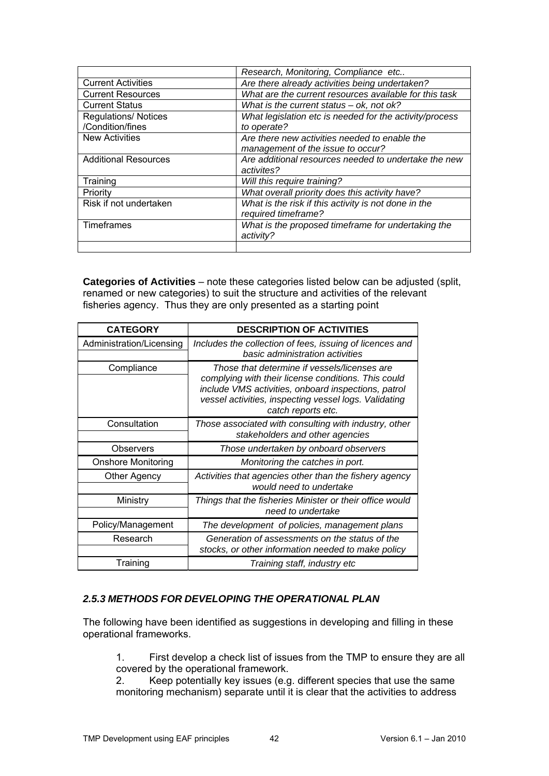|                             | Research, Monitoring, Compliance etc                    |
|-----------------------------|---------------------------------------------------------|
| <b>Current Activities</b>   | Are there already activities being undertaken?          |
| <b>Current Resources</b>    | What are the current resources available for this task  |
| <b>Current Status</b>       | What is the current status $-$ ok, not ok?              |
| <b>Regulations/ Notices</b> | What legislation etc is needed for the activity/process |
| /Condition/fines            | to operate?                                             |
| <b>New Activities</b>       | Are there new activities needed to enable the           |
|                             | management of the issue to occur?                       |
| <b>Additional Resources</b> | Are additional resources needed to undertake the new    |
|                             | activites?                                              |
| Training                    | Will this require training?                             |
| Priority                    | What overall priority does this activity have?          |
| Risk if not undertaken      | What is the risk if this activity is not done in the    |
|                             | required timeframe?                                     |
| <b>Timeframes</b>           | What is the proposed timeframe for undertaking the      |
|                             | activity?                                               |
|                             |                                                         |

**Categories of Activities** – note these categories listed below can be adjusted (split, renamed or new categories) to suit the structure and activities of the relevant fisheries agency. Thus they are only presented as a starting point

| <b>CATEGORY</b>           | <b>DESCRIPTION OF ACTIVITIES</b>                                                                                                                                                                                                          |
|---------------------------|-------------------------------------------------------------------------------------------------------------------------------------------------------------------------------------------------------------------------------------------|
| Administration/Licensing  | Includes the collection of fees, issuing of licences and<br>basic administration activities                                                                                                                                               |
| Compliance                | Those that determine if vessels/licenses are<br>complying with their license conditions. This could<br>include VMS activities, onboard inspections, patrol<br>vessel activities, inspecting vessel logs. Validating<br>catch reports etc. |
| Consultation              | Those associated with consulting with industry, other<br>stakeholders and other agencies                                                                                                                                                  |
| Observers                 | Those undertaken by onboard observers                                                                                                                                                                                                     |
| <b>Onshore Monitoring</b> | Monitoring the catches in port.                                                                                                                                                                                                           |
| Other Agency              | Activities that agencies other than the fishery agency<br>would need to undertake                                                                                                                                                         |
| Ministry                  | Things that the fisheries Minister or their office would<br>need to undertake                                                                                                                                                             |
| Policy/Management         | The development of policies, management plans                                                                                                                                                                                             |
| Research                  | Generation of assessments on the status of the<br>stocks, or other information needed to make policy                                                                                                                                      |
| Training                  | Training staff, industry etc                                                                                                                                                                                                              |

#### <span id="page-41-0"></span>*2.5.3 METHODS FOR DEVELOPING THE OPERATIONAL PLAN*

The following have been identified as suggestions in developing and filling in these operational frameworks.

1. First develop a check list of issues from the TMP to ensure they are all covered by the operational framework.

2. Keep potentially key issues (e.g. different species that use the same monitoring mechanism) separate until it is clear that the activities to address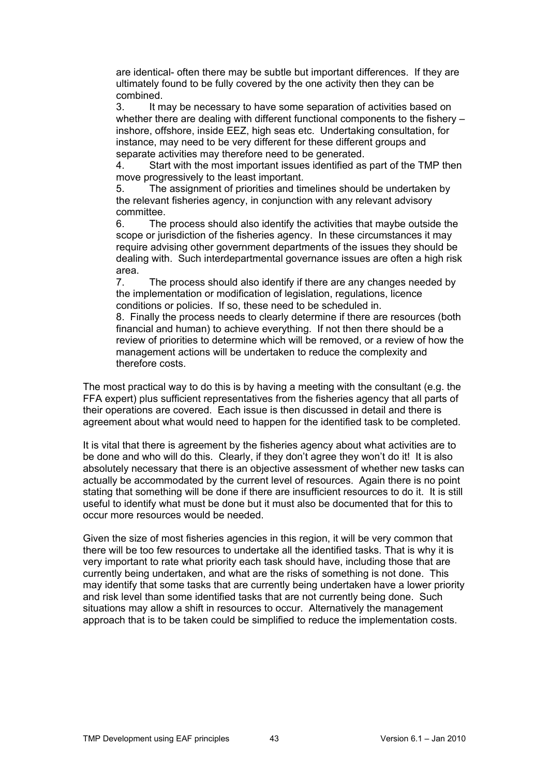are identical- often there may be subtle but important differences. If they are ultimately found to be fully covered by the one activity then they can be combined.

3. It may be necessary to have some separation of activities based on whether there are dealing with different functional components to the fishery – inshore, offshore, inside EEZ, high seas etc. Undertaking consultation, for instance, may need to be very different for these different groups and separate activities may therefore need to be generated.

4. Start with the most important issues identified as part of the TMP then move progressively to the least important.

5. The assignment of priorities and timelines should be undertaken by the relevant fisheries agency, in conjunction with any relevant advisory committee.

6. The process should also identify the activities that maybe outside the scope or jurisdiction of the fisheries agency. In these circumstances it may require advising other government departments of the issues they should be dealing with. Such interdepartmental governance issues are often a high risk area.

7. The process should also identify if there are any changes needed by the implementation or modification of legislation, regulations, licence conditions or policies. If so, these need to be scheduled in.

8. Finally the process needs to clearly determine if there are resources (both financial and human) to achieve everything. If not then there should be a review of priorities to determine which will be removed, or a review of how the management actions will be undertaken to reduce the complexity and therefore costs.

The most practical way to do this is by having a meeting with the consultant (e.g. the FFA expert) plus sufficient representatives from the fisheries agency that all parts of their operations are covered. Each issue is then discussed in detail and there is agreement about what would need to happen for the identified task to be completed.

It is vital that there is agreement by the fisheries agency about what activities are to be done and who will do this. Clearly, if they don't agree they won't do it! It is also absolutely necessary that there is an objective assessment of whether new tasks can actually be accommodated by the current level of resources. Again there is no point stating that something will be done if there are insufficient resources to do it. It is still useful to identify what must be done but it must also be documented that for this to occur more resources would be needed.

Given the size of most fisheries agencies in this region, it will be very common that there will be too few resources to undertake all the identified tasks. That is why it is very important to rate what priority each task should have, including those that are currently being undertaken, and what are the risks of something is not done. This may identify that some tasks that are currently being undertaken have a lower priority and risk level than some identified tasks that are not currently being done. Such situations may allow a shift in resources to occur. Alternatively the management approach that is to be taken could be simplified to reduce the implementation costs.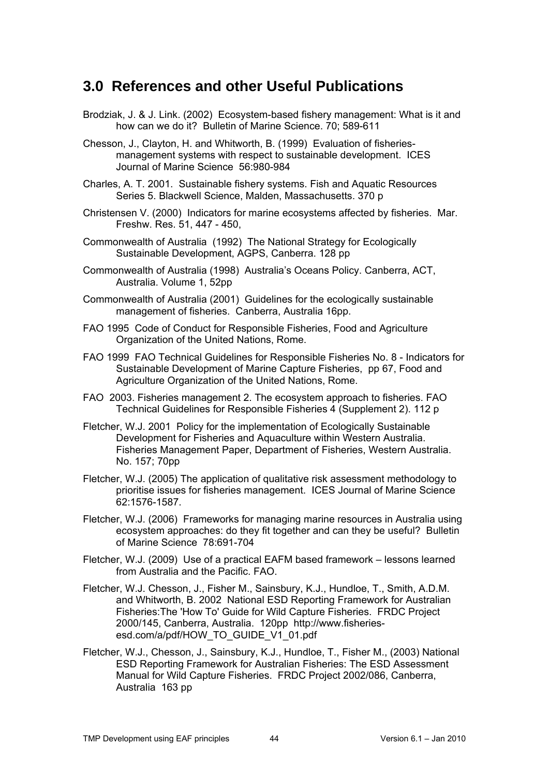# <span id="page-43-0"></span>**3.0 References and other Useful Publications**

- Brodziak, J. & J. Link. (2002) Ecosystem-based fishery management: What is it and how can we do it? Bulletin of Marine Science. 70; 589-611
- Chesson, J., Clayton, H. and Whitworth, B. (1999) Evaluation of fisheriesmanagement systems with respect to sustainable development. ICES Journal of Marine Science 56:980-984
- Charles, A. T. 2001. Sustainable fishery systems. Fish and Aquatic Resources Series 5. Blackwell Science, Malden, Massachusetts. 370 p
- Christensen V. (2000) Indicators for marine ecosystems affected by fisheries. Mar. Freshw. Res. 51, 447 - 450,
- Commonwealth of Australia (1992) The National Strategy for Ecologically Sustainable Development, AGPS, Canberra. 128 pp
- Commonwealth of Australia (1998) Australia's Oceans Policy. Canberra, ACT, Australia. Volume 1, 52pp
- Commonwealth of Australia (2001) Guidelines for the ecologically sustainable management of fisheries. Canberra, Australia 16pp.
- FAO 1995 Code of Conduct for Responsible Fisheries, Food and Agriculture Organization of the United Nations, Rome.
- FAO 1999 FAO Technical Guidelines for Responsible Fisheries No. 8 Indicators for Sustainable Development of Marine Capture Fisheries, pp 67, Food and Agriculture Organization of the United Nations, Rome.
- FAO 2003. Fisheries management 2. The ecosystem approach to fisheries. FAO Technical Guidelines for Responsible Fisheries 4 (Supplement 2). 112 p
- Fletcher, W.J. 2001 Policy for the implementation of Ecologically Sustainable Development for Fisheries and Aquaculture within Western Australia. Fisheries Management Paper, Department of Fisheries, Western Australia. No. 157; 70pp
- Fletcher, W.J. (2005) The application of qualitative risk assessment methodology to prioritise issues for fisheries management. ICES Journal of Marine Science 62:1576-1587.
- Fletcher, W.J. (2006) Frameworks for managing marine resources in Australia using ecosystem approaches: do they fit together and can they be useful? Bulletin of Marine Science 78:691-704
- Fletcher, W.J. (2009) Use of a practical EAFM based framework lessons learned from Australia and the Pacific. FAO.
- Fletcher, W.J. Chesson, J., Fisher M., Sainsbury, K.J., Hundloe, T., Smith, A.D.M. and Whitworth, B. 2002 National ESD Reporting Framework for Australian Fisheries:The 'How To' Guide for Wild Capture Fisheries. FRDC Project 2000/145, Canberra, Australia. 120pp http://www.fisheriesesd.com/a/pdf/HOW\_TO\_GUIDE\_V1\_01.pdf
- Fletcher, W.J., Chesson, J., Sainsbury, K.J., Hundloe, T., Fisher M., (2003) National ESD Reporting Framework for Australian Fisheries: The ESD Assessment Manual for Wild Capture Fisheries. FRDC Project 2002/086, Canberra, Australia 163 pp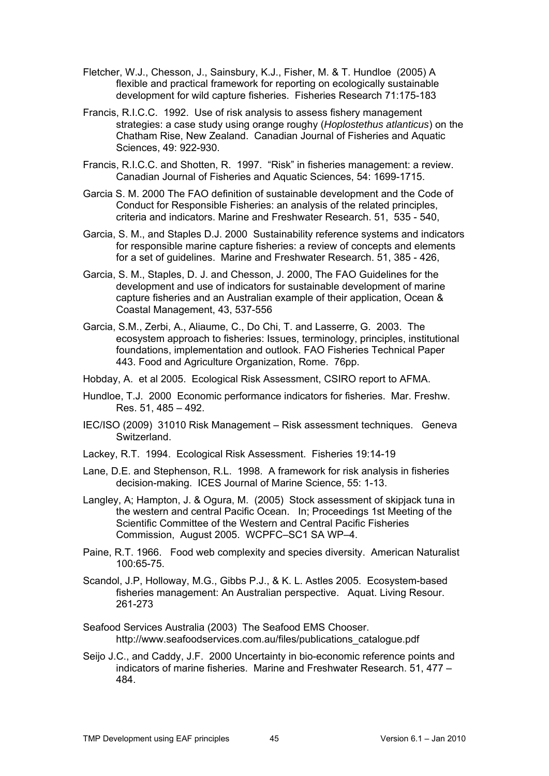- Fletcher, W.J., Chesson, J., Sainsbury, K.J., Fisher, M. & T. Hundloe (2005) A flexible and practical framework for reporting on ecologically sustainable development for wild capture fisheries. Fisheries Research 71:175-183
- Francis, R.I.C.C. 1992. Use of risk analysis to assess fishery management strategies: a case study using orange roughy (*Hoplostethus atlanticus*) on the Chatham Rise, New Zealand. Canadian Journal of Fisheries and Aquatic Sciences, 49: 922-930.
- Francis, R.I.C.C. and Shotten, R. 1997. "Risk" in fisheries management: a review. Canadian Journal of Fisheries and Aquatic Sciences, 54: 1699-1715.
- Garcia S. M. 2000 The FAO definition of sustainable development and the Code of Conduct for Responsible Fisheries: an analysis of the related principles, criteria and indicators. Marine and Freshwater Research. 51, 535 - 540,
- Garcia, S. M., and Staples D.J. 2000 Sustainability reference systems and indicators for responsible marine capture fisheries: a review of concepts and elements for a set of guidelines. Marine and Freshwater Research. 51, 385 - 426,
- Garcia, S. M., Staples, D. J. and Chesson, J. 2000, The FAO Guidelines for the development and use of indicators for sustainable development of marine capture fisheries and an Australian example of their application, Ocean & Coastal Management, 43, 537-556
- Garcia, S.M., Zerbi, A., Aliaume, C., Do Chi, T. and Lasserre, G. 2003. The ecosystem approach to fisheries: Issues, terminology, principles, institutional foundations, implementation and outlook. FAO Fisheries Technical Paper 443. Food and Agriculture Organization, Rome. 76pp.
- Hobday, A. et al 2005. Ecological Risk Assessment, CSIRO report to AFMA.
- Hundloe, T.J. 2000 Economic performance indicators for fisheries. Mar. Freshw. Res. 51, 485 – 492.
- IEC/ISO (2009) 31010 Risk Management Risk assessment techniques. Geneva Switzerland.
- Lackey, R.T. 1994. Ecological Risk Assessment. Fisheries 19:14-19
- Lane, D.E. and Stephenson, R.L. 1998. A framework for risk analysis in fisheries decision-making. ICES Journal of Marine Science, 55: 1-13.
- Langley, A; Hampton, J. & Ogura, M. (2005) Stock assessment of skipjack tuna in the western and central Pacific Ocean. In; Proceedings 1st Meeting of the Scientific Committee of the Western and Central Pacific Fisheries Commission, August 2005. WCPFC–SC1 SA WP–4.
- Paine, R.T. 1966. Food web complexity and species diversity. American Naturalist 100:65-75.
- Scandol, J.P, Holloway, M.G., Gibbs P.J., & K. L. Astles 2005. Ecosystem-based fisheries management: An Australian perspective. Aquat. Living Resour. 261-273
- Seafood Services Australia (2003) The Seafood EMS Chooser. http://www.seafoodservices.com.au/files/publications\_catalogue.pdf
- Seijo J.C., and Caddy, J.F. 2000 Uncertainty in bio-economic reference points and indicators of marine fisheries. Marine and Freshwater Research. 51, 477 – 484.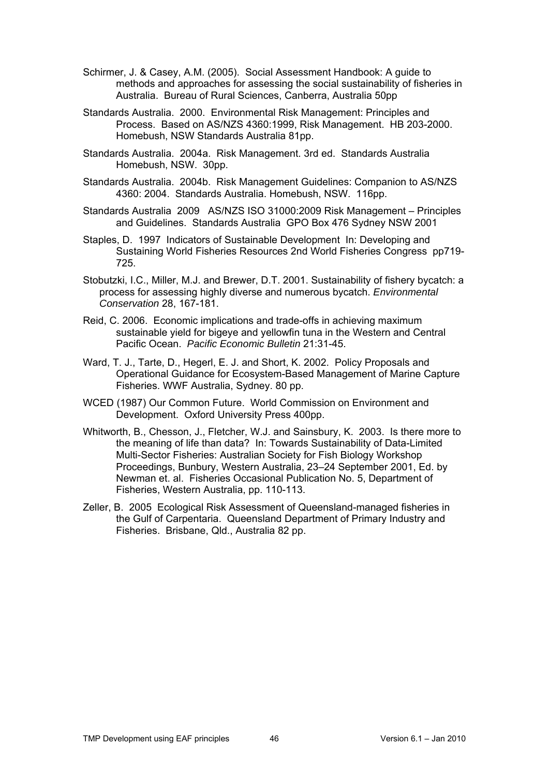- Schirmer, J. & Casey, A.M. (2005). Social Assessment Handbook: A guide to methods and approaches for assessing the social sustainability of fisheries in Australia. Bureau of Rural Sciences, Canberra, Australia 50pp
- Standards Australia. 2000. Environmental Risk Management: Principles and Process. Based on AS/NZS 4360:1999, Risk Management. HB 203-2000. Homebush, NSW Standards Australia 81pp.
- Standards Australia. 2004a. Risk Management. 3rd ed. Standards Australia Homebush, NSW. 30pp.
- Standards Australia. 2004b. Risk Management Guidelines: Companion to AS/NZS 4360: 2004. Standards Australia. Homebush, NSW. 116pp.
- Standards Australia 2009 AS/NZS ISO 31000:2009 Risk Management Principles and Guidelines. Standards Australia GPO Box 476 Sydney NSW 2001
- Staples, D. 1997 Indicators of Sustainable Development In: Developing and Sustaining World Fisheries Resources 2nd World Fisheries Congress pp719- 725.
- Stobutzki, I.C., Miller, M.J. and Brewer, D.T. 2001. Sustainability of fishery bycatch: a process for assessing highly diverse and numerous bycatch. *Environmental Conservation* 28, 167-181.
- Reid, C. 2006. Economic implications and trade-offs in achieving maximum sustainable yield for bigeye and yellowfin tuna in the Western and Central Pacific Ocean. *Pacific Economic Bulletin* 21:31-45.
- Ward, T. J., Tarte, D., Hegerl, E. J. and Short, K. 2002. Policy Proposals and Operational Guidance for Ecosystem-Based Management of Marine Capture Fisheries. WWF Australia, Sydney. 80 pp.
- WCED (1987) Our Common Future. World Commission on Environment and Development. Oxford University Press 400pp.
- Whitworth, B., Chesson, J., Fletcher, W.J. and Sainsbury, K. 2003. Is there more to the meaning of life than data? In: Towards Sustainability of Data-Limited Multi-Sector Fisheries: Australian Society for Fish Biology Workshop Proceedings, Bunbury, Western Australia, 23–24 September 2001, Ed. by Newman et. al. Fisheries Occasional Publication No. 5, Department of Fisheries, Western Australia, pp. 110-113.
- Zeller, B. 2005 Ecological Risk Assessment of Queensland-managed fisheries in the Gulf of Carpentaria. Queensland Department of Primary Industry and Fisheries. Brisbane, Qld., Australia 82 pp.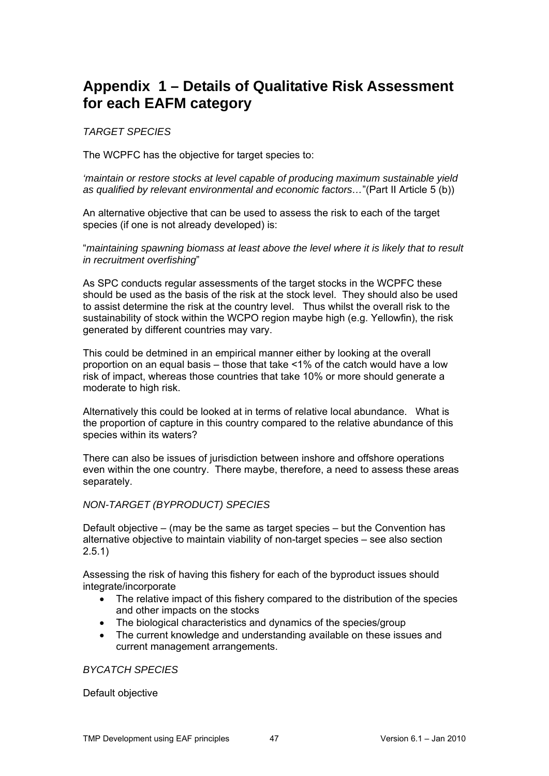# <span id="page-46-0"></span>**Appendix 1 – Details of Qualitative Risk Assessment for each EAFM category**

<span id="page-46-1"></span>*TARGET SPECIES* 

The WCPFC has the objective for target species to:

*'maintain or restore stocks at level capable of producing maximum sustainable yield as qualified by relevant environmental and economic factors…*"(Part II Article 5 (b))

An alternative objective that can be used to assess the risk to each of the target species (if one is not already developed) is:

"*maintaining spawning biomass at least above the level where it is likely that to result in recruitment overfishing*"

As SPC conducts regular assessments of the target stocks in the WCPFC these should be used as the basis of the risk at the stock level. They should also be used to assist determine the risk at the country level. Thus whilst the overall risk to the sustainability of stock within the WCPO region maybe high (e.g. Yellowfin), the risk generated by different countries may vary.

This could be detmined in an empirical manner either by looking at the overall proportion on an equal basis – those that take <1% of the catch would have a low risk of impact, whereas those countries that take 10% or more should generate a moderate to high risk.

Alternatively this could be looked at in terms of relative local abundance. What is the proportion of capture in this country compared to the relative abundance of this species within its waters?

There can also be issues of jurisdiction between inshore and offshore operations even within the one country. There maybe, therefore, a need to assess these areas separately.

#### <span id="page-46-2"></span>*NON-TARGET (BYPRODUCT) SPECIES*

Default objective – (may be the same as target species – but the Convention has alternative objective to maintain viability of non-target species – see also section  $2.5.1)$ 

Assessing the risk of having this fishery for each of the byproduct issues should integrate/incorporate

- The relative impact of this fishery compared to the distribution of the species and other impacts on the stocks
- The biological characteristics and dynamics of the species/group
- The current knowledge and understanding available on these issues and current management arrangements.

<span id="page-46-3"></span>*BYCATCH SPECIES* 

Default objective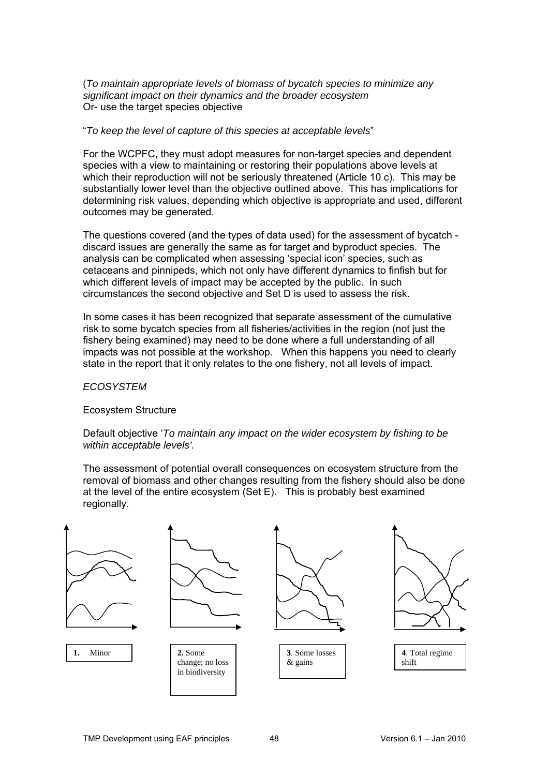(*To maintain appropriate levels of biomass of bycatch species to minimize any significant impact on their dynamics and the broader ecosystem* Or- use the target species objective

#### "*To keep the level of capture of this species at acceptable levels*"

For the WCPFC, they must adopt measures for non-target species and dependent species with a view to maintaining or restoring their populations above levels at which their reproduction will not be seriously threatened (Article 10 c). This may be substantially lower level than the objective outlined above. This has implications for determining risk values, depending which objective is appropriate and used, different outcomes may be generated.

The questions covered (and the types of data used) for the assessment of bycatch discard issues are generally the same as for target and byproduct species. The analysis can be complicated when assessing 'special icon' species, such as cetaceans and pinnipeds, which not only have different dynamics to finfish but for which different levels of impact may be accepted by the public. In such circumstances the second objective and Set D is used to assess the risk.

In some cases it has been recognized that separate assessment of the cumulative risk to some bycatch species from all fisheries/activities in the region (not just the fishery being examined) may need to be done where a full understanding of all impacts was not possible at the workshop. When this happens you need to clearly state in the report that it only relates to the one fishery, not all levels of impact.

<span id="page-47-0"></span>*ECOSYSTEM* 

Ecosystem Structure

Default objective '*To maintain any impact on the wider ecosystem by fishing to be within acceptable levels'.* 

The assessment of potential overall consequences on ecosystem structure from the removal of biomass and other changes resulting from the fishery should also be done at the level of the entire ecosystem (Set E). This is probably best examined regionally.

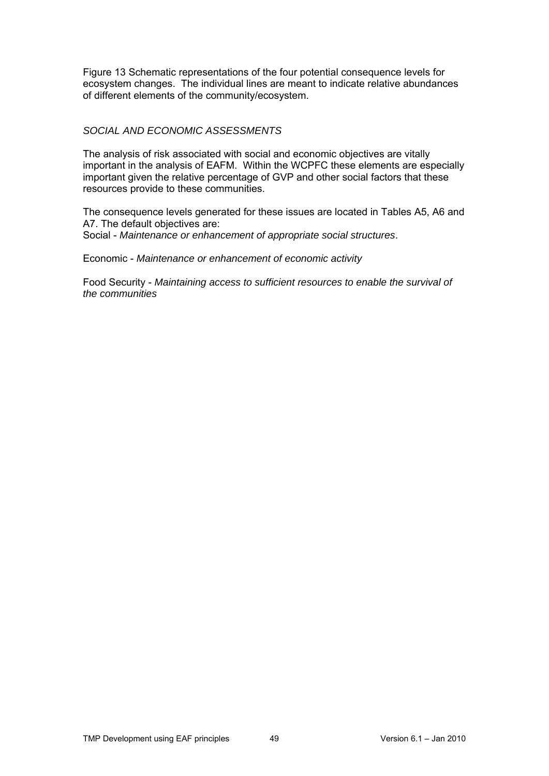Figure 13 Schematic representations of the four potential consequence levels for ecosystem changes. The individual lines are meant to indicate relative abundances of different elements of the community/ecosystem.

#### <span id="page-48-0"></span>*SOCIAL AND ECONOMIC ASSESSMENTS*

The analysis of risk associated with social and economic objectives are vitally important in the analysis of EAFM. Within the WCPFC these elements are especially important given the relative percentage of GVP and other social factors that these resources provide to these communities.

The consequence levels generated for these issues are located in Tables A5, A6 and A7. The default objectives are: Social - *Maintenance or enhancement of appropriate social structures*.

Economic - *Maintenance or enhancement of economic activity*

Food Security - *Maintaining access to sufficient resources to enable the survival of the communities*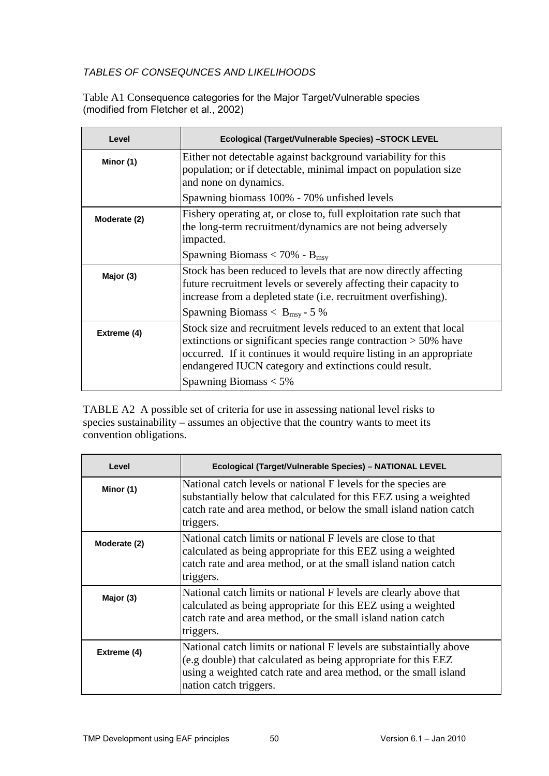## <span id="page-49-0"></span>*TABLES OF CONSEQUNCES AND LIKELIHOODS*

Table A1 Consequence categories for the Major Target/Vulnerable species (modified from Fletcher et al., 2002)

| Level        | Ecological (Target/Vulnerable Species) -STOCK LEVEL                                                                                                                                                                                                                       |
|--------------|---------------------------------------------------------------------------------------------------------------------------------------------------------------------------------------------------------------------------------------------------------------------------|
| Minor (1)    | Either not detectable against background variability for this<br>population; or if detectable, minimal impact on population size<br>and none on dynamics.                                                                                                                 |
|              | Spawning biomass 100% - 70% unfished levels                                                                                                                                                                                                                               |
| Moderate (2) | Fishery operating at, or close to, full exploitation rate such that<br>the long-term recruitment/dynamics are not being adversely<br>impacted.                                                                                                                            |
|              | Spawning Biomass < 70% - $B_{\text{msv}}$                                                                                                                                                                                                                                 |
| Major (3)    | Stock has been reduced to levels that are now directly affecting<br>future recruitment levels or severely affecting their capacity to<br>increase from a depleted state (i.e. recruitment overfishing).                                                                   |
|              | Spawning Biomass $< B_{\text{msy}}$ - 5 %                                                                                                                                                                                                                                 |
| Extreme (4)  | Stock size and recruitment levels reduced to an extent that local<br>extinctions or significant species range contraction $> 50\%$ have<br>occurred. If it continues it would require listing in an appropriate<br>endangered IUCN category and extinctions could result. |
|              | Spawning Biomass $<$ 5%                                                                                                                                                                                                                                                   |

TABLE A2 A possible set of criteria for use in assessing national level risks to species sustainability – assumes an objective that the country wants to meet its convention obligations.

| Level        | Ecological (Target/Vulnerable Species) - NATIONAL LEVEL                                                                                                                                                                             |
|--------------|-------------------------------------------------------------------------------------------------------------------------------------------------------------------------------------------------------------------------------------|
| Minor (1)    | National catch levels or national F levels for the species are<br>substantially below that calculated for this EEZ using a weighted<br>catch rate and area method, or below the small island nation catch<br>triggers.              |
| Moderate (2) | National catch limits or national F levels are close to that<br>calculated as being appropriate for this EEZ using a weighted<br>catch rate and area method, or at the small island nation catch<br>triggers.                       |
| Major (3)    | National catch limits or national F levels are clearly above that<br>calculated as being appropriate for this EEZ using a weighted<br>catch rate and area method, or the small island nation catch<br>triggers.                     |
| Extreme (4)  | National catch limits or national F levels are substaintially above<br>(e.g double) that calculated as being appropriate for this EEZ<br>using a weighted catch rate and area method, or the small island<br>nation catch triggers. |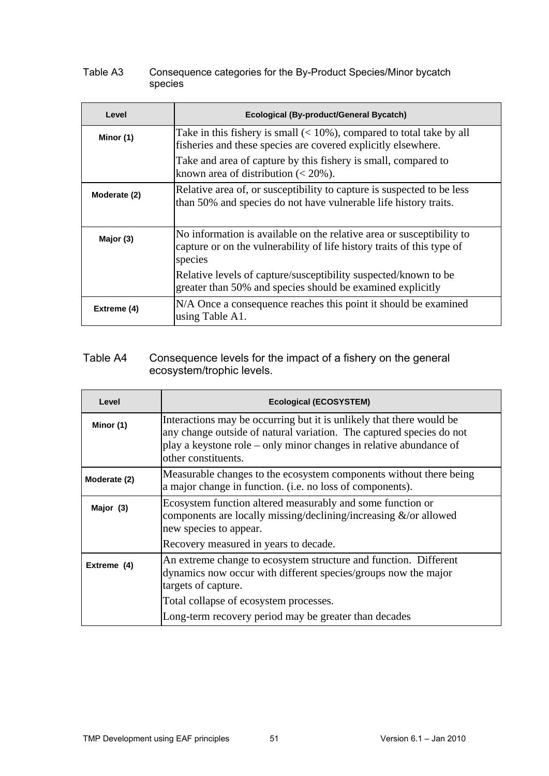#### Table A3 Consequence categories for the By-Product Species/Minor bycatch species

| Level        | Ecological (By-product/General Bycatch)                                                                                                                    |  |  |  |
|--------------|------------------------------------------------------------------------------------------------------------------------------------------------------------|--|--|--|
| Minor (1)    | Take in this fishery is small $(< 10\%)$ , compared to total take by all<br>fisheries and these species are covered explicitly elsewhere.                  |  |  |  |
|              | Take and area of capture by this fishery is small, compared to<br>known area of distribution $(< 20\%$ ).                                                  |  |  |  |
| Moderate (2) | Relative area of, or susceptibility to capture is suspected to be less<br>than 50% and species do not have vulnerable life history traits.                 |  |  |  |
| Major (3)    | No information is available on the relative area or susceptibility to<br>capture or on the vulnerability of life history traits of this type of<br>species |  |  |  |
|              | Relative levels of capture/susceptibility suspected/known to be<br>greater than 50% and species should be examined explicitly                              |  |  |  |
| Extreme (4)  | N/A Once a consequence reaches this point it should be examined<br>using Table A1.                                                                         |  |  |  |

## Table A4 Consequence levels for the impact of a fishery on the general ecosystem/trophic levels.

| Level        | <b>Ecological (ECOSYSTEM)</b>                                                                                                                                                                                                             |
|--------------|-------------------------------------------------------------------------------------------------------------------------------------------------------------------------------------------------------------------------------------------|
| Minor (1)    | Interactions may be occurring but it is unlikely that there would be<br>any change outside of natural variation. The captured species do not<br>play a keystone role – only minor changes in relative abundance of<br>other constituents. |
| Moderate (2) | Measurable changes to the ecosystem components without there being<br>a major change in function. (i.e. no loss of components).                                                                                                           |
| Major (3)    | Ecosystem function altered measurably and some function or<br>components are locally missing/declining/increasing $\&$ /or allowed<br>new species to appear.                                                                              |
|              | Recovery measured in years to decade.                                                                                                                                                                                                     |
| Extreme (4)  | An extreme change to ecosystem structure and function. Different<br>dynamics now occur with different species/groups now the major<br>targets of capture.                                                                                 |
|              | Total collapse of ecosystem processes.                                                                                                                                                                                                    |
|              | Long-term recovery period may be greater than decades                                                                                                                                                                                     |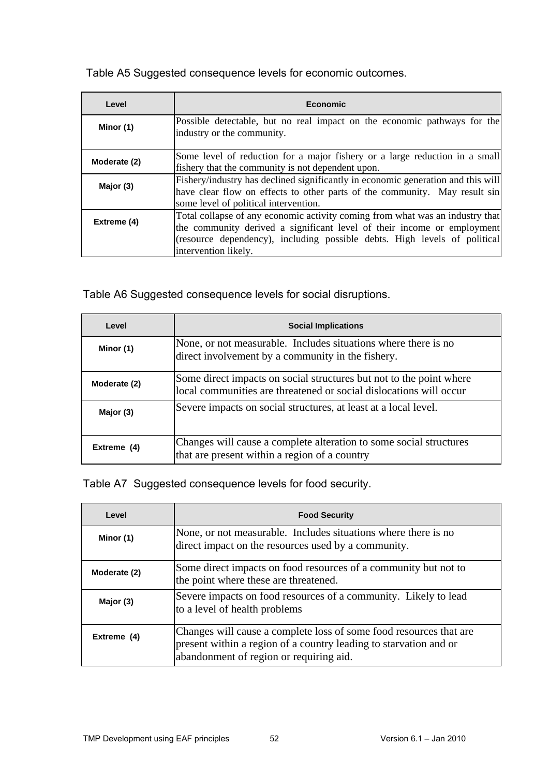Table A5 Suggested consequence levels for economic outcomes.

| Level        | Economic                                                                                                                                                                                                                                                      |  |  |  |
|--------------|---------------------------------------------------------------------------------------------------------------------------------------------------------------------------------------------------------------------------------------------------------------|--|--|--|
| Minor (1)    | Possible detectable, but no real impact on the economic pathways for the<br>industry or the community.                                                                                                                                                        |  |  |  |
| Moderate (2) | Some level of reduction for a major fishery or a large reduction in a small<br>fishery that the community is not dependent upon.                                                                                                                              |  |  |  |
| Major (3)    | Fishery/industry has declined significantly in economic generation and this will<br>have clear flow on effects to other parts of the community. May result sin<br>some level of political intervention.                                                       |  |  |  |
| Extreme (4)  | Total collapse of any economic activity coming from what was an industry that<br>the community derived a significant level of their income or employment<br>(resource dependency), including possible debts. High levels of political<br>intervention likely. |  |  |  |

Table A6 Suggested consequence levels for social disruptions.

| Level        | <b>Social Implications</b>                                                                                                                |  |  |  |
|--------------|-------------------------------------------------------------------------------------------------------------------------------------------|--|--|--|
| Minor (1)    | None, or not measurable. Includes situations where there is no<br>direct involvement by a community in the fishery.                       |  |  |  |
| Moderate (2) | Some direct impacts on social structures but not to the point where<br>local communities are threatened or social dislocations will occur |  |  |  |
| Major (3)    | Severe impacts on social structures, at least at a local level.                                                                           |  |  |  |
| Extreme (4)  | Changes will cause a complete alteration to some social structures<br>that are present within a region of a country                       |  |  |  |

Table A7 Suggested consequence levels for food security.

| Level        | <b>Food Security</b>                                                                                                                                                               |  |  |  |
|--------------|------------------------------------------------------------------------------------------------------------------------------------------------------------------------------------|--|--|--|
| Minor (1)    | None, or not measurable. Includes situations where there is no<br>direct impact on the resources used by a community.                                                              |  |  |  |
| Moderate (2) | Some direct impacts on food resources of a community but not to<br>the point where these are threatened.                                                                           |  |  |  |
| Major (3)    | Severe impacts on food resources of a community. Likely to lead<br>to a level of health problems                                                                                   |  |  |  |
| Extreme (4)  | Changes will cause a complete loss of some food resources that are<br>present within a region of a country leading to starvation and or<br>abandonment of region or requiring aid. |  |  |  |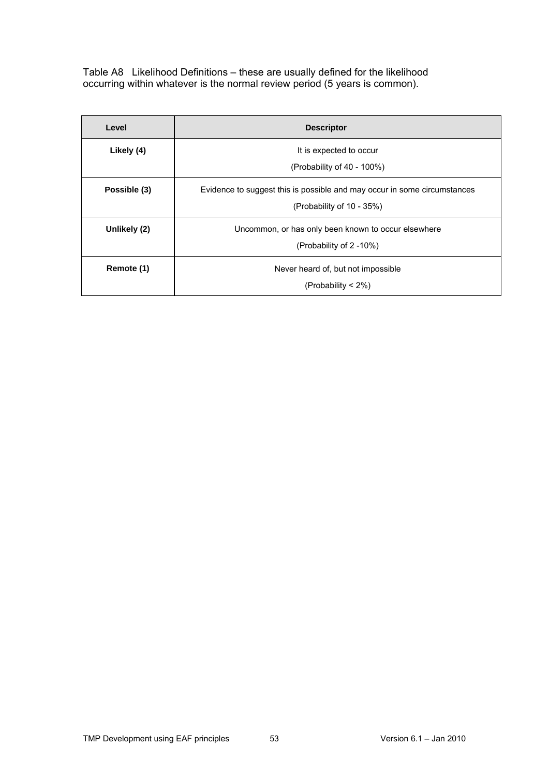Table A8 Likelihood Definitions – these are usually defined for the likelihood occurring within whatever is the normal review period (5 years is common).

| Level        | <b>Descriptor</b>                                                        |  |  |
|--------------|--------------------------------------------------------------------------|--|--|
| Likely (4)   | It is expected to occur                                                  |  |  |
|              | (Probability of 40 - 100%)                                               |  |  |
| Possible (3) | Evidence to suggest this is possible and may occur in some circumstances |  |  |
|              | (Probability of 10 - 35%)                                                |  |  |
| Unlikely (2) | Uncommon, or has only been known to occur elsewhere                      |  |  |
|              | (Probability of 2 -10%)                                                  |  |  |
| Remote (1)   | Never heard of, but not impossible                                       |  |  |
|              | (Probability $<$ 2%)                                                     |  |  |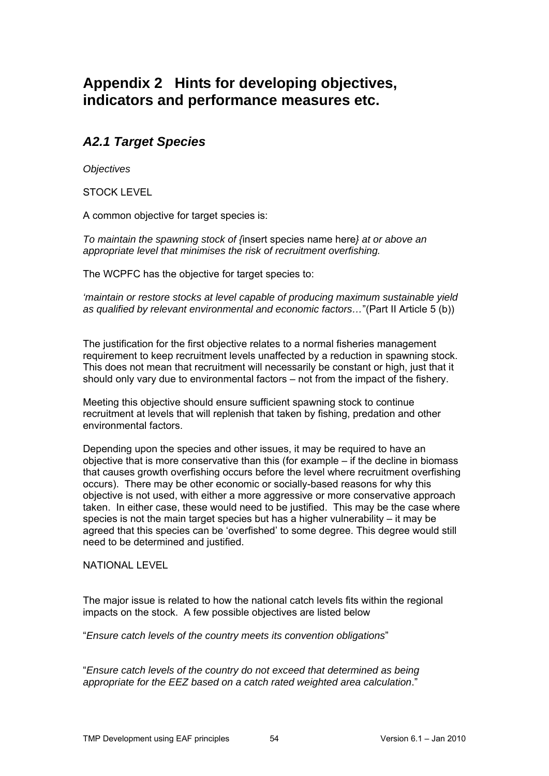# <span id="page-53-0"></span>**Appendix 2 Hints for developing objectives, indicators and performance measures etc.**

## <span id="page-53-1"></span>*A2.1 Target Species*

<span id="page-53-2"></span>*Objectives* 

STOCK LEVEL

A common objective for target species is:

*To maintain the spawning stock of {*insert species name here*} at or above an appropriate level that minimises the risk of recruitment overfishing.* 

The WCPFC has the objective for target species to:

*'maintain or restore stocks at level capable of producing maximum sustainable yield as qualified by relevant environmental and economic factors…*"(Part II Article 5 (b))

The justification for the first objective relates to a normal fisheries management requirement to keep recruitment levels unaffected by a reduction in spawning stock. This does not mean that recruitment will necessarily be constant or high, just that it should only vary due to environmental factors – not from the impact of the fishery.

Meeting this objective should ensure sufficient spawning stock to continue recruitment at levels that will replenish that taken by fishing, predation and other environmental factors.

Depending upon the species and other issues, it may be required to have an objective that is more conservative than this (for example – if the decline in biomass that causes growth overfishing occurs before the level where recruitment overfishing occurs). There may be other economic or socially-based reasons for why this objective is not used, with either a more aggressive or more conservative approach taken. In either case, these would need to be justified. This may be the case where species is not the main target species but has a higher vulnerability – it may be agreed that this species can be 'overfished' to some degree. This degree would still need to be determined and justified.

NATIONAL LEVEL

The major issue is related to how the national catch levels fits within the regional impacts on the stock. A few possible objectives are listed below

"*Ensure catch levels of the country meets its convention obligations*"

"*Ensure catch levels of the country do not exceed that determined as being appropriate for the EEZ based on a catch rated weighted area calculation*."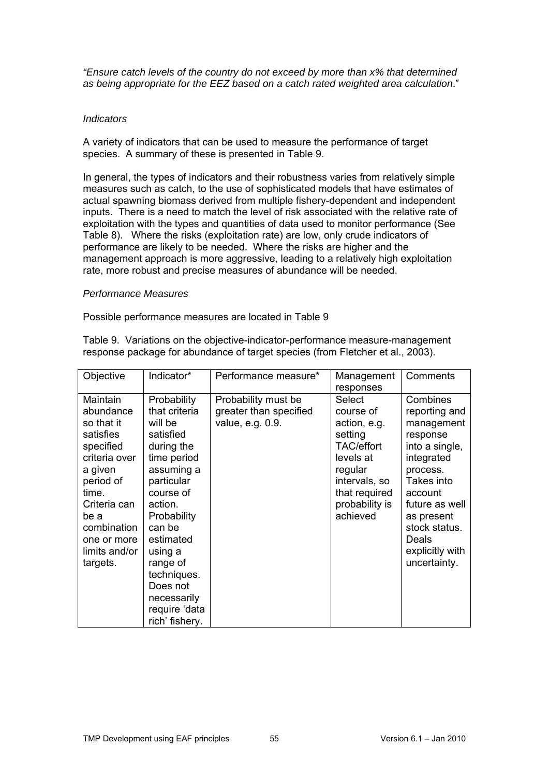*"Ensure catch levels of the country do not exceed by more than x% that determined as being appropriate for the EEZ based on a catch rated weighted area calculation*."

#### <span id="page-54-0"></span>*Indicators*

A variety of indicators that can be used to measure the performance of target species. A summary of these is presented in Table 9.

In general, the types of indicators and their robustness varies from relatively simple measures such as catch, to the use of sophisticated models that have estimates of actual spawning biomass derived from multiple fishery-dependent and independent inputs. There is a need to match the level of risk associated with the relative rate of exploitation with the types and quantities of data used to monitor performance (See Table 8). Where the risks (exploitation rate) are low, only crude indicators of performance are likely to be needed. Where the risks are higher and the management approach is more aggressive, leading to a relatively high exploitation rate, more robust and precise measures of abundance will be needed.

#### <span id="page-54-1"></span>*Performance Measures*

Possible performance measures are located in Table 9

Table 9. Variations on the objective-indicator-performance measure-management response package for abundance of target species (from Fletcher et al., 2003).

| Objective                                                                                                                                                                                          | Indicator*                                                                                                                                                                                                                                                                      | Performance measure*                                              | Management<br>responses                                                                                                                              | Comments                                                                                                                                                                                                              |
|----------------------------------------------------------------------------------------------------------------------------------------------------------------------------------------------------|---------------------------------------------------------------------------------------------------------------------------------------------------------------------------------------------------------------------------------------------------------------------------------|-------------------------------------------------------------------|------------------------------------------------------------------------------------------------------------------------------------------------------|-----------------------------------------------------------------------------------------------------------------------------------------------------------------------------------------------------------------------|
| Maintain<br>abundance<br>so that it<br>satisfies<br>specified<br>criteria over<br>a given<br>period of<br>time.<br>Criteria can<br>be a<br>combination<br>one or more<br>limits and/or<br>targets. | Probability<br>that criteria<br>will be<br>satisfied<br>during the<br>time period<br>assuming a<br>particular<br>course of<br>action.<br>Probability<br>can be<br>estimated<br>using a<br>range of<br>techniques.<br>Does not<br>necessarily<br>require 'data<br>rich' fishery. | Probability must be<br>greater than specified<br>value, e.g. 0.9. | Select<br>course of<br>action, e.g.<br>setting<br>TAC/effort<br>levels at<br>regular<br>intervals, so<br>that required<br>probability is<br>achieved | Combines<br>reporting and<br>management<br>response<br>into a single,<br>integrated<br>process.<br>Takes into<br>account<br>future as well<br>as present<br>stock status.<br>Deals<br>explicitly with<br>uncertainty. |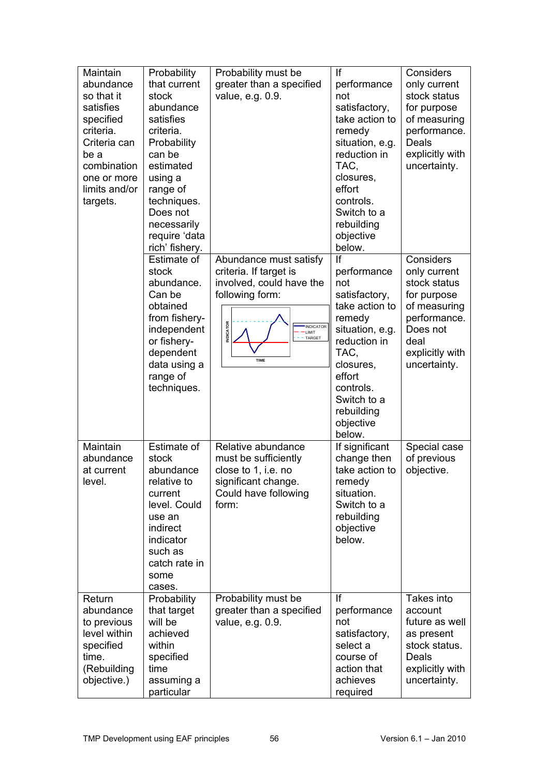| Maintain<br>abundance<br>so that it<br>satisfies<br>specified<br>criteria.<br>Criteria can<br>be a<br>combination<br>one or more<br>limits and/or<br>targets. | Probability<br>that current<br>stock<br>abundance<br>satisfies<br>criteria.<br>Probability<br>can be<br>estimated<br>using a<br>range of<br>techniques.<br>Does not<br>necessarily<br>require 'data<br>rich' fishery. | Probability must be<br>greater than a specified<br>value, e.g. 0.9.                                                                                                                     | If<br>performance<br>not<br>satisfactory,<br>take action to<br>remedy<br>situation, e.g.<br>reduction in<br>TAC.<br>closures,<br>effort<br>controls.<br>Switch to a<br>rebuilding<br>objective<br>below. | Considers<br>only current<br>stock status<br>for purpose<br>of measuring<br>performance.<br>Deals<br>explicitly with<br>uncertainty.            |
|---------------------------------------------------------------------------------------------------------------------------------------------------------------|-----------------------------------------------------------------------------------------------------------------------------------------------------------------------------------------------------------------------|-----------------------------------------------------------------------------------------------------------------------------------------------------------------------------------------|----------------------------------------------------------------------------------------------------------------------------------------------------------------------------------------------------------|-------------------------------------------------------------------------------------------------------------------------------------------------|
|                                                                                                                                                               | Estimate of<br>stock<br>abundance.<br>Can be<br>obtained<br>from fishery-<br>independent<br>or fishery-<br>dependent<br>data using a<br>range of<br>techniques.                                                       | Abundance must satisfy<br>criteria. If target is<br>involved, could have the<br>following form:<br><b>INDICATOR</b><br><b>INDICATOR</b><br><b>LIMIT</b><br><b>TARGET</b><br><b>TIME</b> | If<br>performance<br>not<br>satisfactory,<br>take action to<br>remedy<br>situation, e.g.<br>reduction in<br>TAC,<br>closures,<br>effort<br>controls.<br>Switch to a<br>rebuilding<br>objective<br>below. | Considers<br>only current<br>stock status<br>for purpose<br>of measuring<br>performance.<br>Does not<br>deal<br>explicitly with<br>uncertainty. |
| Maintain<br>abundance<br>at current<br>level.                                                                                                                 | Estimate of<br>stock<br>abundance<br>relative to<br>current<br>level. Could<br>use an<br>indirect<br>indicator<br>such as<br>catch rate in<br>some<br>cases.                                                          | Relative abundance<br>must be sufficiently<br>close to 1, i.e. no<br>significant change.<br>Could have following<br>form:                                                               | If significant<br>change then<br>take action to<br>remedy<br>situation.<br>Switch to a<br>rebuilding<br>objective<br>below.                                                                              | Special case<br>of previous<br>objective.                                                                                                       |
| Return<br>abundance<br>to previous<br>level within<br>specified<br>time.<br>(Rebuilding<br>objective.)                                                        | Probability<br>that target<br>will be<br>achieved<br>within<br>specified<br>time<br>assuming a<br>particular                                                                                                          | Probability must be<br>greater than a specified<br>value, e.g. 0.9.                                                                                                                     | If<br>performance<br>not<br>satisfactory,<br>select a<br>course of<br>action that<br>achieves<br>required                                                                                                | Takes into<br>account<br>future as well<br>as present<br>stock status.<br>Deals<br>explicitly with<br>uncertainty.                              |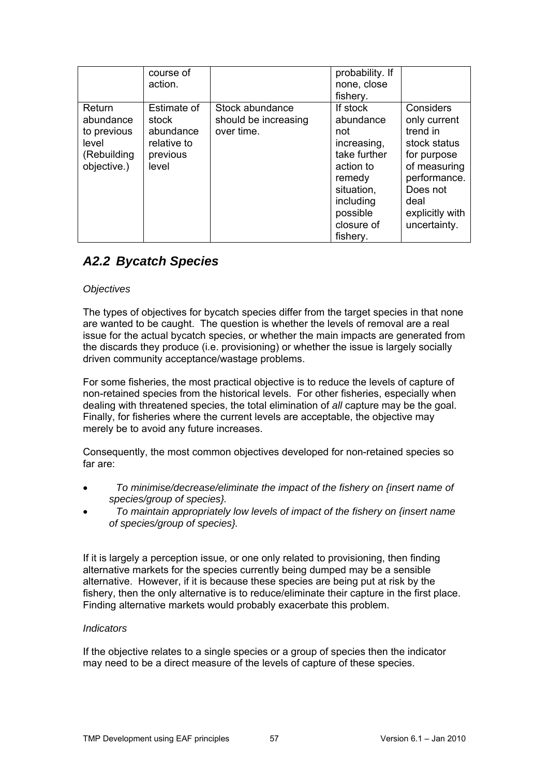|                                                                           | course of<br>action.                                                  |                                                       | probability. If<br>none, close<br>fishery.                                                                                                          |                                                                                                                                                             |
|---------------------------------------------------------------------------|-----------------------------------------------------------------------|-------------------------------------------------------|-----------------------------------------------------------------------------------------------------------------------------------------------------|-------------------------------------------------------------------------------------------------------------------------------------------------------------|
| Return<br>abundance<br>to previous<br>level<br>(Rebuilding<br>objective.) | Estimate of<br>stock<br>abundance<br>relative to<br>previous<br>level | Stock abundance<br>should be increasing<br>over time. | If stock<br>abundance<br>not<br>increasing,<br>take further<br>action to<br>remedy<br>situation,<br>including<br>possible<br>closure of<br>fishery. | Considers<br>only current<br>trend in<br>stock status<br>for purpose<br>of measuring<br>performance.<br>Does not<br>deal<br>explicitly with<br>uncertainty. |

## <span id="page-56-0"></span>*A2.2 Bycatch Species*

## <span id="page-56-1"></span>*Objectives*

The types of objectives for bycatch species differ from the target species in that none issue for the actual bycatch species, or whether the main impacts are generated from the discards they produce (i.e. provisioning) or whether the issue is largely socially driven community acceptance/wastage problems. are wanted to be caught. The question is whether the levels of removal are a real

dealing with threatened species, the total elimination of all capture may be the goal. Finally, for fisheries where the current levels are acceptable, the objective may merely be to avoid any future increases. For some fisheries, the most practical objective is to reduce the levels of capture of non-retained species from the historical levels. For other fisheries, especially when

Consequently, the most common objectives developed for non-retained species so far are:

- To minimise/decrease/eliminate the impact of the fishery on {insert name of *species/group of species}.*
- To maintain appropriately low levels of impact of the fishery on {insert name *of species/group of species}.*

fishery, then the only alternative is to reduce/eliminate their capture in the first place. Finding alternative markets would probably exacerbate this problem. If it is largely a perception issue, or one only related to provisioning, then finding alternative markets for the species currently being dumped may be a sensible alternative. However, if it is because these species are being put at risk by the

#### <span id="page-56-2"></span>*Indicators*

If the objective relates to a single species or a group of species then the indicator may need to be a direct measure of the levels of capture of these species.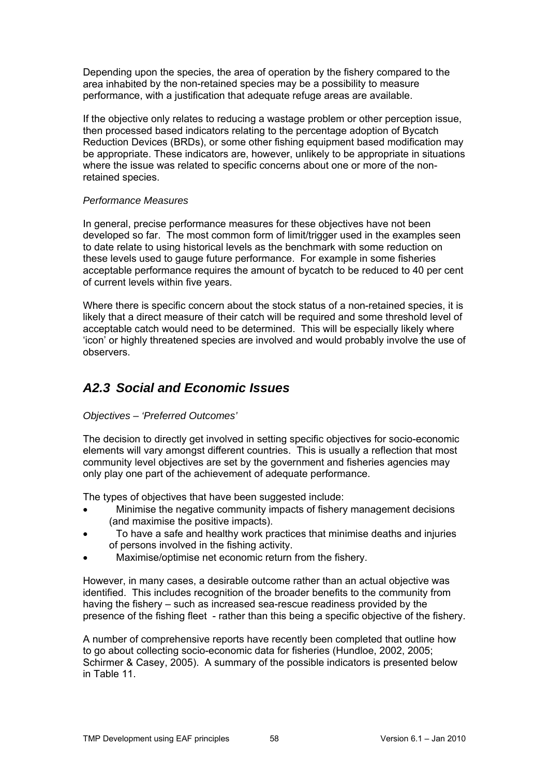Depending upon the species, the area of operation by the fishery compared to the area inhabited by the non-retained species may be a possibility to measure performance, with a justification that adequate refuge areas are available.

Reduction Devices (BRDs), or some other fishing equipment based modification may be appropriate. These indicators are, however, unlikely to be appropriate in situations where the issue was related to specific concerns about one or more of the nonretained species. If the objective only relates to reducing a wastage problem or other perception issue, then processed based indicators relating to the percentage adoption of Bycatch

#### <span id="page-57-0"></span>*Performance Measures*

to date relate to using historical levels as the benchmark with some reduction on these levels used to gauge future performance. For example in some fisheries In general, precise performance measures for these objectives have not been developed so far. The most common form of limit/trigger used in the examples seen acceptable performance requires the amount of bycatch to be reduced to 40 per cent of current levels within five years.

likely that a direct measure of their catch will be required and some threshold level of acceptable catch would need to be determined. This will be especially likely where 'icon' or highly threatened species are involved and would probably involve the use of Where there is specific concern about the stock status of a non-retained species, it is observers.

## <span id="page-57-1"></span>*A2.3 Social and Economic Issues*

#### <span id="page-57-2"></span>*Objectives – 'Preferred Outcomes'*

The decision to directly get involved in setting specific objectives for socio-economic lements will vary amongst different countries. This is usually a reflection that most e community level objectives are set by the government and fisheries agencies may only play one part of the achievement of adequate performance.

The types of objectives that have been suggested include:

- Minimise the negative community impacts of fishery management decisions (and maximise the positive impacts).
- To have a safe and healthy work practices that minimise deaths and injuries  $\blacktriangle$ of persons involved in the fishing activity.
- Maximise/optimise net economic return from the fishery.

identified. This includes recognition of the broader benefits to the community from presence of the fishing fleet - rather than this being a specific objective of the fishery. However, in many cases, a desirable outcome rather than an actual objective was having the fishery – such as increased sea-rescue readiness provided by the

A number of comprehensive reports have recently been completed that outline how to go about collecting socio-economic data for fisheries (Hundloe, 2002, 2005; Schirmer & Casey, 2005). A summary of the possible indicators is presented below in Table 11.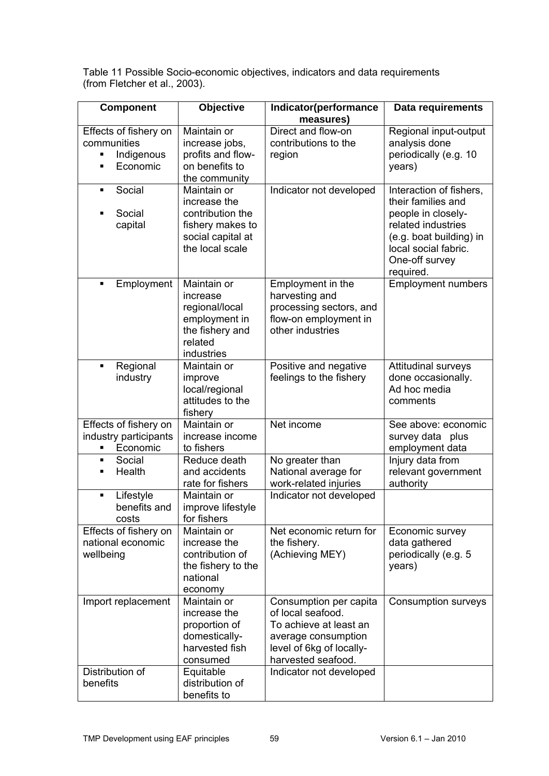Table 11 Possible Socio-economic objectives, indicators and data requirements (from Fletcher et al., 2003).

| <b>Component</b>                                                         | <b>Objective</b>                                                                                            | Indicator(performance<br>measures)                                                                                                             | Data requirements                                                                                                                                                           |
|--------------------------------------------------------------------------|-------------------------------------------------------------------------------------------------------------|------------------------------------------------------------------------------------------------------------------------------------------------|-----------------------------------------------------------------------------------------------------------------------------------------------------------------------------|
| Effects of fishery on<br>communities<br>Indigenous<br>٠<br>Economic<br>п | Maintain or<br>increase jobs,<br>profits and flow-<br>on benefits to<br>the community                       | Direct and flow-on<br>contributions to the<br>region                                                                                           | Regional input-output<br>analysis done<br>periodically (e.g. 10<br>years)                                                                                                   |
| Social<br>$\blacksquare$<br>Social<br>capital                            | Maintain or<br>increase the<br>contribution the<br>fishery makes to<br>social capital at<br>the local scale | Indicator not developed                                                                                                                        | Interaction of fishers,<br>their families and<br>people in closely-<br>related industries<br>(e.g. boat building) in<br>local social fabric.<br>One-off survey<br>required. |
| Employment<br>$\blacksquare$                                             | Maintain or<br>increase<br>regional/local<br>employment in<br>the fishery and<br>related<br>industries      | Employment in the<br>harvesting and<br>processing sectors, and<br>flow-on employment in<br>other industries                                    | <b>Employment numbers</b>                                                                                                                                                   |
| Regional<br>٠<br>industry                                                | Maintain or<br>improve<br>local/regional<br>attitudes to the<br>fishery                                     | Positive and negative<br>feelings to the fishery                                                                                               | <b>Attitudinal surveys</b><br>done occasionally.<br>Ad hoc media<br>comments                                                                                                |
| Effects of fishery on<br>industry participants<br>Economic               | Maintain or<br>increase income<br>to fishers                                                                | Net income                                                                                                                                     | See above: economic<br>survey data plus<br>employment data                                                                                                                  |
| Social<br>П<br>Health<br>п                                               | Reduce death<br>and accidents<br>rate for fishers                                                           | No greater than<br>National average for<br>work-related injuries                                                                               | Injury data from<br>relevant government<br>authority                                                                                                                        |
| Lifestyle<br>٠<br>benefits and<br>costs                                  | Maintain or<br>improve lifestyle<br>for fishers                                                             | Indicator not developed                                                                                                                        |                                                                                                                                                                             |
| Effects of fishery on<br>national economic<br>wellbeing                  | Maintain or<br>increase the<br>contribution of<br>the fishery to the<br>national<br>economy                 | Net economic return for<br>the fishery.<br>(Achieving MEY)                                                                                     | Economic survey<br>data gathered<br>periodically (e.g. 5<br>years)                                                                                                          |
| Import replacement                                                       | Maintain or<br>increase the<br>proportion of<br>domestically-<br>harvested fish<br>consumed                 | Consumption per capita<br>of local seafood.<br>To achieve at least an<br>average consumption<br>level of 6kg of locally-<br>harvested seafood. | <b>Consumption surveys</b>                                                                                                                                                  |
| Distribution of<br>benefits                                              | Equitable<br>distribution of<br>benefits to                                                                 | Indicator not developed                                                                                                                        |                                                                                                                                                                             |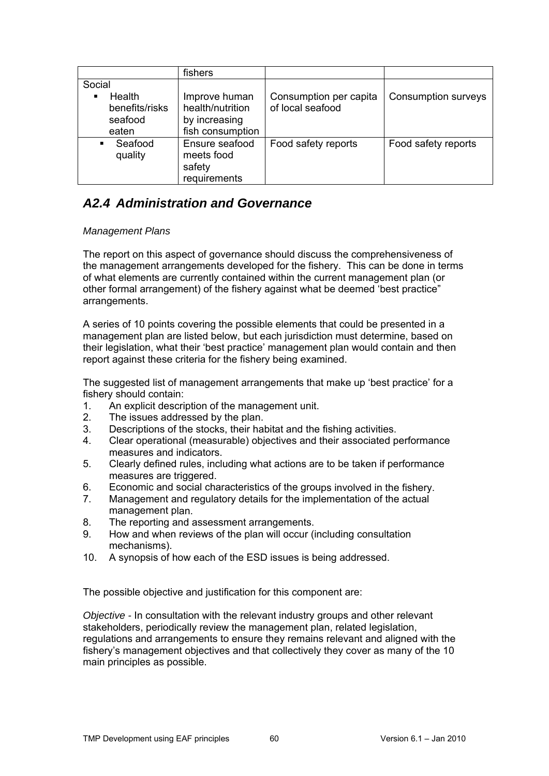|                         | fishers                      |                        |                            |
|-------------------------|------------------------------|------------------------|----------------------------|
| Social                  |                              |                        |                            |
| Health<br>٠             | Improve human                | Consumption per capita | <b>Consumption surveys</b> |
| benefits/risks          | health/nutrition             | of local seafood       |                            |
| seafood                 | by increasing                |                        |                            |
| eaten                   | fish consumption             |                        |                            |
| Seafood<br>٠<br>quality | Ensure seafood<br>meets food | Food safety reports    | Food safety reports        |
|                         | safety                       |                        |                            |
|                         | requirements                 |                        |                            |

## <span id="page-59-0"></span>*A2.4 Administration and Governance*

## <span id="page-59-1"></span>*Management Plans*

The report on this aspect of governance should discuss the comprehensiveness o f the management arrangements developed for the fishery. This can be done in terms of what elements are currently contained within the current management plan (or other formal arrangement) of the fishery against what be deemed 'best practice" arrangements.

A series of 10 points covering the possible elements that could be presented in a management plan are listed below, but each jurisdiction must determine, based on their legislation, what their 'best practice' management plan would contain and then report against these criteria for the fishery being examined.

The suggested list of management arrangements that make up 'best practice' for a fishery should contain:

- 1. An explicit description of the management unit.
- 2. The issues addressed by the plan.
- 3. Descriptions of the stocks, their habitat and the fishing activities.
- 4. Clear operational (measurable) objectives and their associated performance measures and indicators.
- 5. Clearly defined rules, including what actions are to be taken if performance measures are triggered.
- 6. Economic and social characteristics of the groups involved in the fishery.
- 7. Management and regulatory details for the implementation of the actual management plan.
- 8. The reporting and assessment arrangements.
- . How and when reviews of the plan will occur (including consultation mechanisms). 9
- 10. A synopsis of how each of the ESD issues is being addressed.

The possible objective and justification for this component are:

stakeholders, periodically review the management plan, related legislation, regulations and arrangements to ensure they remains relevant and aligned with the f ishery's management objectives and that collectively they cover as many of the 10 m ain principles as possible. *Objective -* In consultation with the relevant industry groups and other relevant